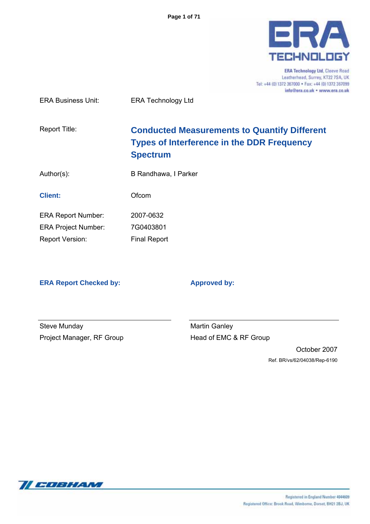

**ERA Technology Ltd, Cleeve Road** Leatherhead, Surrey, KT22 7SA, UK Tel: +44 (0) 1372 367000 · Fax: +44 (0) 1372 367099 info@era.co.uk - www.era.co.uk

ERA Business Unit: ERA Technology Ltd

# Report Title: **Conducted Measurements to Quantify Different Types of Interference in the DDR Frequency Spectrum**

Author(s): B Randhawa, I Parker

**Client:** Ofcom

| <b>ERA Report Number:</b>  | 2007-0632           |
|----------------------------|---------------------|
| <b>ERA Project Number:</b> | 7G0403801           |
| <b>Report Version:</b>     | <b>Final Report</b> |

# **ERA Report Checked by:** Approved by:

Steve Munday Project Manager, RF Group Martin Ganley Head of EMC & RF Group

> October 2007 Ref. BR/vs/62/04038/Rep-6190

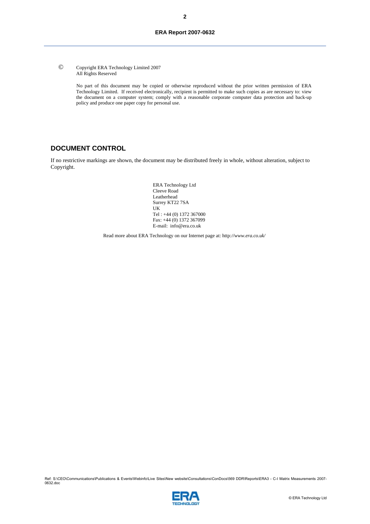© Copyright ERA Technology Limited 2007 All Rights Reserved

> No part of this document may be copied or otherwise reproduced without the prior written permission of ERA Technology Limited. If received electronically, recipient is permitted to make such copies as are necessary to: view the document on a computer system; comply with a reasonable corporate computer data protection and back-up policy and produce one paper copy for personal use.

### **DOCUMENT CONTROL**

If no restrictive markings are shown, the document may be distributed freely in whole, without alteration, subject to Copyright.

> ERA Technology Ltd Cleeve Road Leatherhead Surrey KT22 7SA UK Tel : +44 (0) 1372 367000 Fax: +44 (0) 1372 367099 E-mail: info@era.co.uk

Read more about ERA Technology on our Internet page at: http*://www.era.co.uk/*

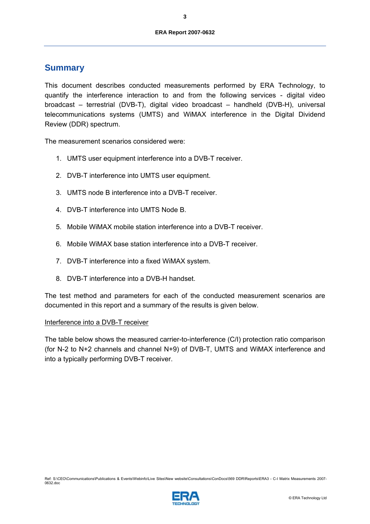# **Summary**

This document describes conducted measurements performed by ERA Technology, to quantify the interference interaction to and from the following services - digital video broadcast – terrestrial (DVB-T), digital video broadcast – handheld (DVB-H), universal telecommunications systems (UMTS) and WiMAX interference in the Digital Dividend Review (DDR) spectrum.

The measurement scenarios considered were:

- 1. UMTS user equipment interference into a DVB-T receiver.
- 2. DVB-T interference into UMTS user equipment.
- 3. UMTS node B interference into a DVB-T receiver.
- 4. DVB-T interference into UMTS Node B.
- 5. Mobile WiMAX mobile station interference into a DVB-T receiver.
- 6. Mobile WiMAX base station interference into a DVB-T receiver.
- 7. DVB-T interference into a fixed WiMAX system.
- 8. DVB-T interference into a DVB-H handset.

The test method and parameters for each of the conducted measurement scenarios are documented in this report and a summary of the results is given below.

#### Interference into a DVB-T receiver

The table below shows the measured carrier-to-interference (C/I) protection ratio comparison (for N-2 to N+2 channels and channel N+9) of DVB-T, UMTS and WiMAX interference and into a typically performing DVB-T receiver.

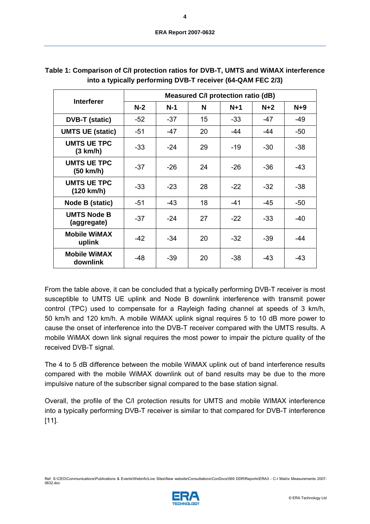**4**

| <b>Interferer</b>                 | <b>Measured C/I protection ratio (dB)</b> |       |    |       |       |       |  |  |  |
|-----------------------------------|-------------------------------------------|-------|----|-------|-------|-------|--|--|--|
|                                   | $N-2$                                     | $N-1$ | N  | $N+1$ | $N+2$ | $N+9$ |  |  |  |
| <b>DVB-T (static)</b>             | $-52$                                     | $-37$ | 15 | $-33$ | $-47$ | -49   |  |  |  |
| <b>UMTS UE (static)</b>           | -51                                       | $-47$ | 20 | -44   | -44   | -50   |  |  |  |
| <b>UMTS UE TPC</b><br>(3 km/h)    | $-33$                                     | $-24$ | 29 | $-19$ | -30   | $-38$ |  |  |  |
| <b>UMTS UE TPC</b><br>(50 km/h)   | $-37$                                     | $-26$ | 24 | -26   | -36   | -43   |  |  |  |
| <b>UMTS UE TPC</b><br>(120 km/h)  | $-33$                                     | $-23$ | 28 | $-22$ | $-32$ | -38   |  |  |  |
| Node B (static)                   | -51                                       | -43   | 18 | -41   | -45   | -50   |  |  |  |
| <b>UMTS Node B</b><br>(aggregate) | -37                                       | $-24$ | 27 | $-22$ | -33   | -40   |  |  |  |
| <b>Mobile WiMAX</b><br>uplink     | $-42$                                     | $-34$ | 20 | $-32$ | -39   | -44   |  |  |  |
| <b>Mobile WiMAX</b><br>downlink   | -48                                       | -39   | 20 | -38   | -43   | $-43$ |  |  |  |

# **Table 1: Comparison of C/I protection ratios for DVB-T, UMTS and WiMAX interference into a typically performing DVB-T receiver (64-QAM FEC 2/3)**

From the table above, it can be concluded that a typically performing DVB-T receiver is most susceptible to UMTS UE uplink and Node B downlink interference with transmit power control (TPC) used to compensate for a Rayleigh fading channel at speeds of 3 km/h, 50 km/h and 120 km/h. A mobile WiMAX uplink signal requires 5 to 10 dB more power to cause the onset of interference into the DVB-T receiver compared with the UMTS results. A mobile WiMAX down link signal requires the most power to impair the picture quality of the received DVB-T signal.

The 4 to 5 dB difference between the mobile WiMAX uplink out of band interference results compared with the mobile WiMAX downlink out of band results may be due to the more impulsive nature of the subscriber signal compared to the base station signal.

Overall, the profile of the C/I protection results for UMTS and mobile WIMAX interference into a typically performing DVB-T receiver is similar to that compared for DVB-T interference [11].

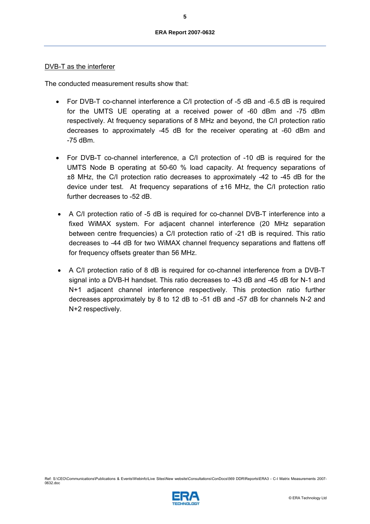#### DVB-T as the interferer

The conducted measurement results show that:

- For DVB-T co-channel interference a C/I protection of -5 dB and -6.5 dB is required for the UMTS UE operating at a received power of -60 dBm and -75 dBm respectively. At frequency separations of 8 MHz and beyond, the C/I protection ratio decreases to approximately -45 dB for the receiver operating at -60 dBm and -75 dBm.
- For DVB-T co-channel interference, a C/I protection of -10 dB is required for the UMTS Node B operating at 50-60 % load capacity. At frequency separations of ±8 MHz, the C/I protection ratio decreases to approximately -42 to -45 dB for the device under test. At frequency separations of ±16 MHz, the C/I protection ratio further decreases to -52 dB.
- A C/I protection ratio of -5 dB is required for co-channel DVB-T interference into a fixed WiMAX system. For adjacent channel interference (20 MHz separation between centre frequencies) a C/I protection ratio of -21 dB is required. This ratio decreases to -44 dB for two WiMAX channel frequency separations and flattens off for frequency offsets greater than 56 MHz.
- A C/I protection ratio of 8 dB is required for co-channel interference from a DVB-T signal into a DVB-H handset. This ratio decreases to -43 dB and -45 dB for N-1 and N+1 adjacent channel interference respectively. This protection ratio further decreases approximately by 8 to 12 dB to -51 dB and -57 dB for channels N-2 and N+2 respectively.

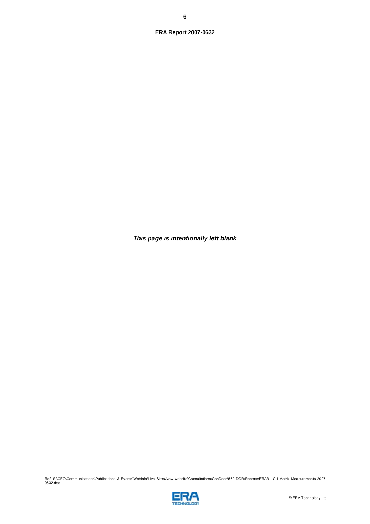**6**

*This page is intentionally left blank* 

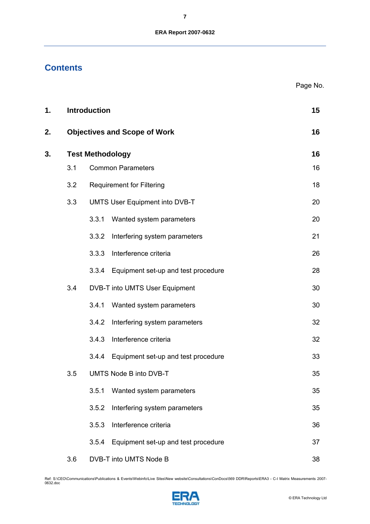**7**

# **Contents**

|    |     |                     |                                           | Page No. |
|----|-----|---------------------|-------------------------------------------|----------|
| 1. |     | <b>Introduction</b> |                                           | 15       |
| 2. |     |                     | <b>Objectives and Scope of Work</b>       | 16       |
| 3. |     |                     | <b>Test Methodology</b>                   | 16       |
|    | 3.1 |                     | <b>Common Parameters</b>                  | 16       |
|    | 3.2 |                     | <b>Requirement for Filtering</b>          | 18       |
|    | 3.3 |                     | <b>UMTS User Equipment into DVB-T</b>     | 20       |
|    |     | 3.3.1               | Wanted system parameters                  | 20       |
|    |     | 3.3.2               | Interfering system parameters             | 21       |
|    |     | 3.3.3               | Interference criteria                     | 26       |
|    |     |                     | 3.3.4 Equipment set-up and test procedure | 28       |
|    | 3.4 |                     | DVB-T into UMTS User Equipment            | 30       |
|    |     | 3.4.1               | Wanted system parameters                  | 30       |
|    |     | 3.4.2               | Interfering system parameters             | 32       |
|    |     | 3.4.3               | Interference criteria                     | 32       |
|    |     | 3.4.4               | Equipment set-up and test procedure       | 33       |
|    | 3.5 |                     | <b>UMTS Node B into DVB-T</b>             | 35       |
|    |     | 3.5.1               | Wanted system parameters                  | 35       |
|    |     | 3.5.2               | Interfering system parameters             | 35       |
|    |     | 3.5.3               | Interference criteria                     | 36       |
|    |     | 3.5.4               | Equipment set-up and test procedure       | 37       |
|    | 3.6 |                     | DVB-T into UMTS Node B                    | 38       |



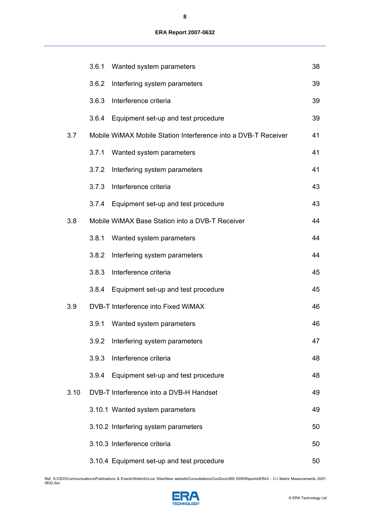|      | 3.6.1 | Wanted system parameters                                       | 38 |
|------|-------|----------------------------------------------------------------|----|
|      | 3.6.2 | Interfering system parameters                                  | 39 |
|      | 3.6.3 | Interference criteria                                          | 39 |
|      |       | 3.6.4 Equipment set-up and test procedure                      | 39 |
| 3.7  |       | Mobile WiMAX Mobile Station Interference into a DVB-T Receiver | 41 |
|      | 3.7.1 | Wanted system parameters                                       | 41 |
|      | 3.7.2 | Interfering system parameters                                  | 41 |
|      | 3.7.3 | Interference criteria                                          | 43 |
|      |       | 3.7.4 Equipment set-up and test procedure                      | 43 |
| 3.8  |       | Mobile WiMAX Base Station into a DVB-T Receiver                | 44 |
|      | 3.8.1 | Wanted system parameters                                       | 44 |
|      | 3.8.2 | Interfering system parameters                                  | 44 |
|      | 3.8.3 | Interference criteria                                          | 45 |
|      | 3.8.4 | Equipment set-up and test procedure                            | 45 |
| 3.9  |       | DVB-T Interference into Fixed WiMAX                            | 46 |
|      | 3.9.1 | Wanted system parameters                                       | 46 |
|      | 3.9.2 | Interfering system parameters                                  | 47 |
|      | 3.9.3 | Interference criteria                                          | 48 |
|      | 3.9.4 | Equipment set-up and test procedure                            | 48 |
| 3.10 |       | DVB-T Interference into a DVB-H Handset                        | 49 |
|      |       | 3.10.1 Wanted system parameters                                | 49 |
|      |       | 3.10.2 Interfering system parameters                           | 50 |
|      |       | 3.10.3 Interference criteria                                   | 50 |
|      |       | 3.10.4 Equipment set-up and test procedure                     | 50 |

Ref: S:\CEO\Communications\Publications & Events\Webinfo\Live Sites\New website\Consultations\ConDocs\569 DDR\Reports\ERA3 - C-I Matrix Measurements 2007- 0632.doc

ERA

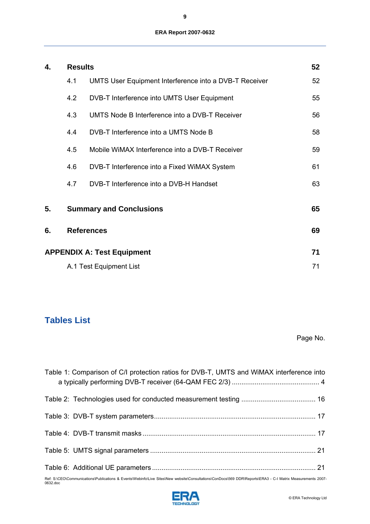| 4. | <b>Results</b> |                                                        | 52 |
|----|----------------|--------------------------------------------------------|----|
|    | 4.1            | UMTS User Equipment Interference into a DVB-T Receiver | 52 |
|    | 4.2            | DVB-T Interference into UMTS User Equipment            | 55 |
|    | 4.3            | UMTS Node B Interference into a DVB-T Receiver         | 56 |
|    | 4.4            | DVB-T Interference into a UMTS Node B                  | 58 |
|    | 4.5            | Mobile WiMAX Interference into a DVB-T Receiver        | 59 |
|    | 4.6            | DVB-T Interference into a Fixed WiMAX System           | 61 |
|    | 4.7            | DVB-T Interference into a DVB-H Handset                | 63 |
| 5. |                | <b>Summary and Conclusions</b>                         | 65 |
| 6. |                | <b>References</b>                                      | 69 |
|    |                | <b>APPENDIX A: Test Equipment</b>                      | 71 |
|    |                | A.1 Test Equipment List                                | 71 |

# **Tables List**

Page No.

|          | Table 1: Comparison of C/I protection ratios for DVB-T, UMTS and WiMAX interference into                                                                   |
|----------|------------------------------------------------------------------------------------------------------------------------------------------------------------|
|          |                                                                                                                                                            |
|          |                                                                                                                                                            |
|          |                                                                                                                                                            |
|          |                                                                                                                                                            |
|          |                                                                                                                                                            |
| 0632.doc | Ref: S:\CEO\Communications\Publications & Events\Webinfo\Live Sites\New website\Consultations\ConDocs\569 DDR\Reports\ERA3 - C-I Matrix Measurements 2007- |

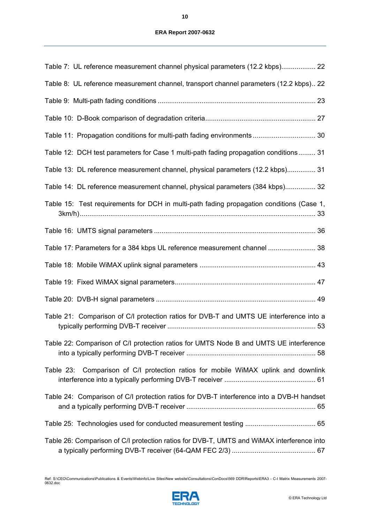| Table 7: UL reference measurement channel physical parameters (12.2 kbps) 22              |
|-------------------------------------------------------------------------------------------|
| Table 8: UL reference measurement channel, transport channel parameters (12.2 kbps) 22    |
|                                                                                           |
|                                                                                           |
| Table 11: Propagation conditions for multi-path fading environments 30                    |
| Table 12: DCH test parameters for Case 1 multi-path fading propagation conditions 31      |
| Table 13: DL reference measurement channel, physical parameters (12.2 kbps) 31            |
| Table 14: DL reference measurement channel, physical parameters (384 kbps) 32             |
| Table 15: Test requirements for DCH in multi-path fading propagation conditions (Case 1,  |
|                                                                                           |
| Table 17: Parameters for a 384 kbps UL reference measurement channel  38                  |
|                                                                                           |
|                                                                                           |
|                                                                                           |
| Table 21: Comparison of C/I protection ratios for DVB-T and UMTS UE interference into a   |
| Table 22: Comparison of C/I protection ratios for UMTS Node B and UMTS UE interference    |
| Table 23: Comparison of C/I protection ratios for mobile WiMAX uplink and downlink        |
| Table 24: Comparison of C/I protection ratios for DVB-T interference into a DVB-H handset |
|                                                                                           |
| Table 26: Comparison of C/I protection ratios for DVB-T, UMTS and WiMAX interference into |

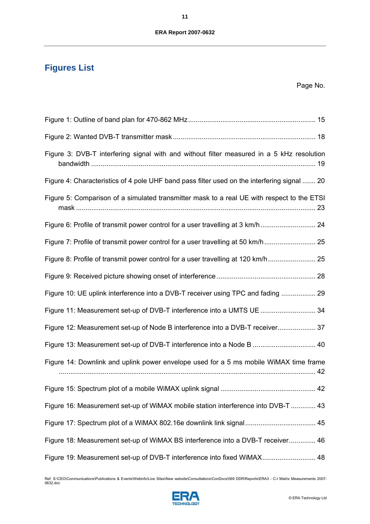**11**

# **Figures List**

| Figure 3: DVB-T interfering signal with and without filter measured in a 5 kHz resolution   |  |
|---------------------------------------------------------------------------------------------|--|
| Figure 4: Characteristics of 4 pole UHF band pass filter used on the interfering signal  20 |  |
| Figure 5: Comparison of a simulated transmitter mask to a real UE with respect to the ETSI  |  |
| Figure 6: Profile of transmit power control for a user travelling at 3 km/h 24              |  |
| Figure 7: Profile of transmit power control for a user travelling at 50 km/h 25             |  |
| Figure 8: Profile of transmit power control for a user travelling at 120 km/h 25            |  |
|                                                                                             |  |
| Figure 10: UE uplink interference into a DVB-T receiver using TPC and fading  29            |  |
| Figure 11: Measurement set-up of DVB-T interference into a UMTS UE  34                      |  |
| Figure 12: Measurement set-up of Node B interference into a DVB-T receiver 37               |  |
| Figure 13: Measurement set-up of DVB-T interference into a Node B  40                       |  |
| Figure 14: Downlink and uplink power envelope used for a 5 ms mobile WiMAX time frame       |  |
|                                                                                             |  |
| Figure 16: Measurement set-up of WiMAX mobile station interference into DVB-T  43           |  |
|                                                                                             |  |
| Figure 18: Measurement set-up of WiMAX BS interference into a DVB-T receiver 46             |  |
| Figure 19: Measurement set-up of DVB-T interference into fixed WiMAX 48                     |  |

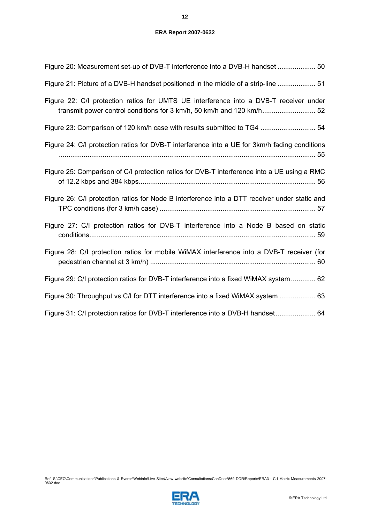**12**

| Figure 20: Measurement set-up of DVB-T interference into a DVB-H handset  50                                                                                   |
|----------------------------------------------------------------------------------------------------------------------------------------------------------------|
| Figure 21: Picture of a DVB-H handset positioned in the middle of a strip-line  51                                                                             |
| Figure 22: C/I protection ratios for UMTS UE interference into a DVB-T receiver under<br>transmit power control conditions for 3 km/h, 50 km/h and 120 km/h 52 |
| Figure 23: Comparison of 120 km/h case with results submitted to TG4  54                                                                                       |
| Figure 24: C/I protection ratios for DVB-T interference into a UE for 3km/h fading conditions                                                                  |
| Figure 25: Comparison of C/I protection ratios for DVB-T interference into a UE using a RMC                                                                    |
| Figure 26: C/I protection ratios for Node B interference into a DTT receiver under static and                                                                  |
| Figure 27: C/I protection ratios for DVB-T interference into a Node B based on static                                                                          |
| Figure 28: C/I protection ratios for mobile WiMAX interference into a DVB-T receiver (for                                                                      |
| Figure 29: C/I protection ratios for DVB-T interference into a fixed WiMAX system 62                                                                           |
| Figure 30: Throughput vs C/I for DTT interference into a fixed WiMAX system  63                                                                                |
| Figure 31: C/I protection ratios for DVB-T interference into a DVB-H handset 64                                                                                |

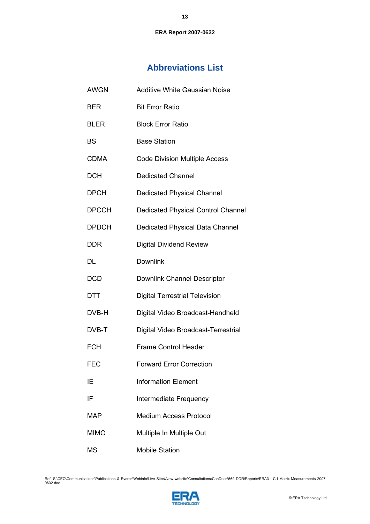**13**

# **Abbreviations List**

| <b>AWGN</b>  | <b>Additive White Gaussian Noise</b>      |
|--------------|-------------------------------------------|
| <b>BER</b>   | <b>Bit Error Ratio</b>                    |
| <b>BLER</b>  | <b>Block Error Ratio</b>                  |
| <b>BS</b>    | <b>Base Station</b>                       |
| <b>CDMA</b>  | <b>Code Division Multiple Access</b>      |
| <b>DCH</b>   | <b>Dedicated Channel</b>                  |
| <b>DPCH</b>  | <b>Dedicated Physical Channel</b>         |
| <b>DPCCH</b> | <b>Dedicated Physical Control Channel</b> |
| <b>DPDCH</b> | Dedicated Physical Data Channel           |
| <b>DDR</b>   | <b>Digital Dividend Review</b>            |
| DL           | <b>Downlink</b>                           |
| <b>DCD</b>   | Downlink Channel Descriptor               |
| DTT          | <b>Digital Terrestrial Television</b>     |
| DVB-H        | Digital Video Broadcast-Handheld          |
| DVB-T        | Digital Video Broadcast-Terrestrial       |
| <b>FCH</b>   | <b>Frame Control Header</b>               |
| <b>FEC</b>   | <b>Forward Error Correction</b>           |
| ΙE           | <b>Information Element</b>                |
| IF           | Intermediate Frequency                    |
| MAP          | <b>Medium Access Protocol</b>             |
| <b>MIMO</b>  | Multiple In Multiple Out                  |
| <b>MS</b>    | <b>Mobile Station</b>                     |

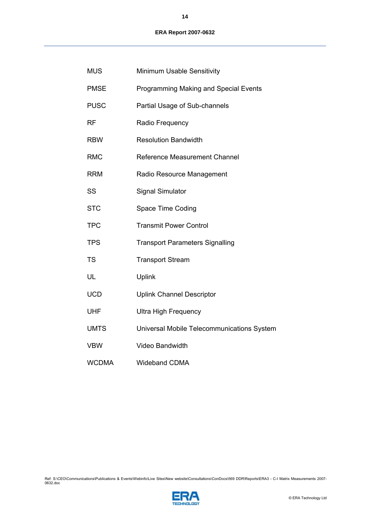| <b>MUS</b>   | Minimum Usable Sensitivity                 |
|--------------|--------------------------------------------|
| <b>PMSE</b>  | Programming Making and Special Events      |
| <b>PUSC</b>  | Partial Usage of Sub-channels              |
| <b>RF</b>    | Radio Frequency                            |
| <b>RBW</b>   | <b>Resolution Bandwidth</b>                |
| <b>RMC</b>   | <b>Reference Measurement Channel</b>       |
| <b>RRM</b>   | Radio Resource Management                  |
| SS           | <b>Signal Simulator</b>                    |
| <b>STC</b>   | Space Time Coding                          |
| <b>TPC</b>   | <b>Transmit Power Control</b>              |
| <b>TPS</b>   | <b>Transport Parameters Signalling</b>     |
| <b>TS</b>    | <b>Transport Stream</b>                    |
| UL           | Uplink                                     |
| <b>UCD</b>   | <b>Uplink Channel Descriptor</b>           |
| <b>UHF</b>   | <b>Ultra High Frequency</b>                |
| <b>UMTS</b>  | Universal Mobile Telecommunications System |
| <b>VBW</b>   | <b>Video Bandwidth</b>                     |
| <b>WCDMA</b> | <b>Wideband CDMA</b>                       |

Ref: S:\CEO\Communications\Publications & Events\Webinfo\Live Sites\New website\Consultations\ConDocs\569 DDR\Reports\ERA3 - C-I Matrix Measurements 2007- 0632.doc



**14**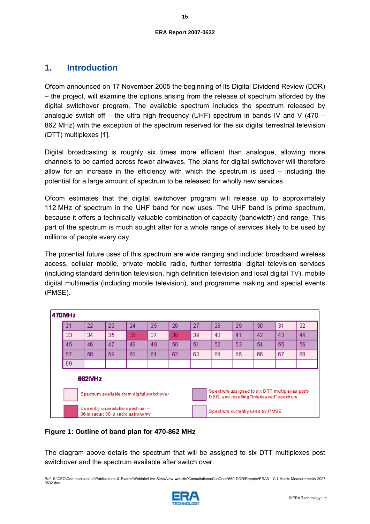# **1. Introduction**

Ofcom announced on 17 November 2005 the beginning of its Digital Dividend Review (DDR) – the project, will examine the options arising from the release of spectrum afforded by the digital switchover program. The available spectrum includes the spectrum released by analogue switch off – the ultra high frequency (UHF) spectrum in bands IV and V (470 – 862 MHz) with the exception of the spectrum reserved for the six digital terrestrial television (DTT) multiplexes [1].

Digital broadcasting is roughly six times more efficient than analogue, allowing more channels to be carried across fewer airwaves. The plans for digital switchover will therefore allow for an increase in the efficiency with which the spectrum is used – including the potential for a large amount of spectrum to be released for wholly new services.

Ofcom estimates that the digital switchover program will release up to approximately 112 MHz of spectrum in the UHF band for new uses. The UHF band is prime spectrum, because it offers a technically valuable combination of capacity (bandwidth) and range. This part of the spectrum is much sought after for a whole range of services likely to be used by millions of people every day.

The potential future uses of this spectrum are wide ranging and include: broadband wireless access, cellular mobile, private mobile radio, further terrestrial digital television services (including standard definition television, high definition television and local digital TV), mobile digital multimedia (including mobile television), and programme making and special events (PMSE).

|                                                                                                        | 470MHz                                                                 |     |    |    |    |    |    |    |    |                                 |    |    |
|--------------------------------------------------------------------------------------------------------|------------------------------------------------------------------------|-----|----|----|----|----|----|----|----|---------------------------------|----|----|
|                                                                                                        | 21                                                                     | 22. | 23 | 24 | 25 | 26 | 27 | 28 | 29 | 30.                             | 31 | 32 |
|                                                                                                        | 33                                                                     | 34  | 35 | 36 | 37 | 38 | 39 | 40 | 41 | 42                              | 43 | 44 |
|                                                                                                        | 45                                                                     | 46  | 47 | 48 | 49 | 50 | 51 | 52 | 53 | 54                              | 55 | 56 |
|                                                                                                        | 57                                                                     | 58  | 59 | 60 | 61 | 62 | 63 | 64 | 65 | 66                              | 67 | 68 |
|                                                                                                        | 69                                                                     |     |    |    |    |    |    |    |    |                                 |    |    |
| 862MHz<br>Spectrum assigned to six DIT multiplexes post-<br>Spectrum available from digital switchover |                                                                        |     |    |    |    |    |    |    |    |                                 |    |    |
|                                                                                                        | DISO, and resulting "interleaved" spectrum.                            |     |    |    |    |    |    |    |    |                                 |    |    |
|                                                                                                        | Currently unavailable spectrum-<br>36 is radar; 38 is radio astronomy. |     |    |    |    |    |    |    |    | Spectrum currently used by PMSE |    |    |

#### **Figure 1: Outline of band plan for 470-862 MHz**

The diagram above details the spectrum that will be assigned to six DTT multiplexes post switchover and the spectrum available after switch over.

Ref: S:\CEO\Communications\Publications & Events\Webinfo\Live Sites\New website\Consultations\ConDocs\569 DDR\Reports\ERA3 - C-I Matrix Measurements 2007-0632.doc

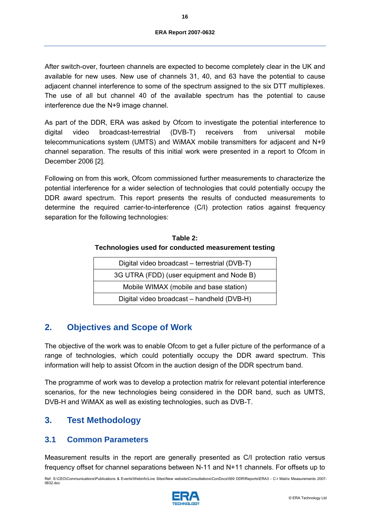After switch-over, fourteen channels are expected to become completely clear in the UK and available for new uses. New use of channels 31, 40, and 63 have the potential to cause adjacent channel interference to some of the spectrum assigned to the six DTT multiplexes. The use of all but channel 40 of the available spectrum has the potential to cause interference due the N+9 image channel.

As part of the DDR, ERA was asked by Ofcom to investigate the potential interference to digital video broadcast-terrestrial (DVB-T) receivers from universal mobile telecommunications system (UMTS) and WiMAX mobile transmitters for adjacent and N+9 channel separation. The results of this initial work were presented in a report to Ofcom in December 2006 [2].

Following on from this work, Ofcom commissioned further measurements to characterize the potential interference for a wider selection of technologies that could potentially occupy the DDR award spectrum. This report presents the results of conducted measurements to determine the required carrier-to-interference (C/I) protection ratios against frequency separation for the following technologies:

| Technologies used for conducted measurement testing |
|-----------------------------------------------------|
| Digital video broadcast - terrestrial (DVB-T)       |
| 3G UTRA (FDD) (user equipment and Node B)           |
| Mobile WIMAX (mobile and base station)              |

Digital video broadcast – handheld (DVB-H)

**Table 2:** 

# **2. Objectives and Scope of Work**

The objective of the work was to enable Ofcom to get a fuller picture of the performance of a range of technologies, which could potentially occupy the DDR award spectrum. This information will help to assist Ofcom in the auction design of the DDR spectrum band.

The programme of work was to develop a protection matrix for relevant potential interference scenarios, for the new technologies being considered in the DDR band, such as UMTS, DVB-H and WiMAX as well as existing technologies, such as DVB-T.

# **3. Test Methodology**

# **3.1 Common Parameters**

Measurement results in the report are generally presented as C/I protection ratio versus frequency offset for channel separations between N-11 and N+11 channels. For offsets up to

Ref: S:\CEO\Communications\Publications & Events\Webinfo\Live Sites\New website\Consultations\ConDocs\569 DDR\Reports\ERA3 - C-I Matrix Measurements 2007-0632.doc

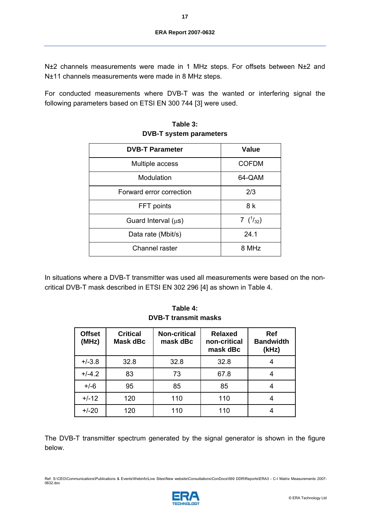**17**

N±2 channels measurements were made in 1 MHz steps. For offsets between N±2 and N±11 channels measurements were made in 8 MHz steps.

For conducted measurements where DVB-T was the wanted or interfering signal the following parameters based on ETSI EN 300 744 [3] were used.

| <b>DVB-T Parameter</b>   | <b>Value</b>     |
|--------------------------|------------------|
| Multiple access          | <b>COFDM</b>     |
| Modulation               | 64-QAM           |
| Forward error correction | 2/3              |
| FFT points               | 8 k              |
| Guard Interval $(\mu s)$ | 7 $(^{1}/_{32})$ |
| Data rate (Mbit/s)       | 24.1             |
| Channel raster           | 8 MHz            |

**Table 3: DVB-T system parameters** 

In situations where a DVB-T transmitter was used all measurements were based on the noncritical DVB-T mask described in ETSI EN 302 296 [4] as shown in Table 4.

| <b>Offset</b><br>(MHz) | <b>Critical</b><br>Mask dBc | <b>Non-critical</b><br>mask dBc | <b>Relaxed</b><br>non-critical<br>mask dBc | <b>Ref</b><br><b>Bandwidth</b><br>(kHz) |
|------------------------|-----------------------------|---------------------------------|--------------------------------------------|-----------------------------------------|
| $+/-3.8$               | 32.8                        | 32.8                            | 32.8                                       |                                         |
| $+/-4.2$               | 83                          | 73                              | 67.8                                       |                                         |
| $+/-6$                 | 95                          | 85                              | 85                                         |                                         |
| $+/-12$                | 120                         | 110                             | 110                                        |                                         |
| $+/-20$                | 120                         | 110                             | 110                                        |                                         |

**Table 4: DVB-T transmit masks** 

The DVB-T transmitter spectrum generated by the signal generator is shown in the figure below.

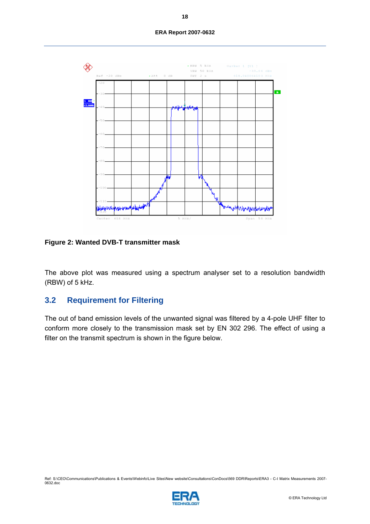

**Figure 2: Wanted DVB-T transmitter mask** 

The above plot was measured using a spectrum analyser set to a resolution bandwidth (RBW) of 5 kHz.

# **3.2 Requirement for Filtering**

The out of band emission levels of the unwanted signal was filtered by a 4-pole UHF filter to conform more closely to the transmission mask set by EN 302 296. The effect of using a filter on the transmit spectrum is shown in the figure below.

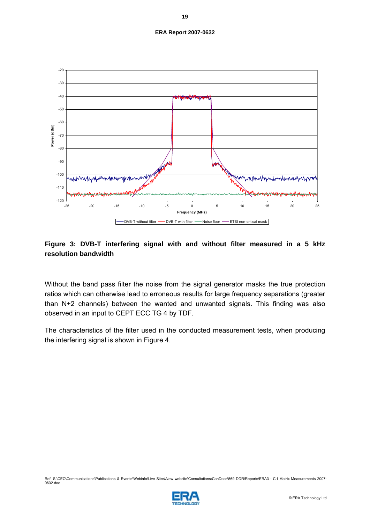**19**



## **Figure 3: DVB-T interfering signal with and without filter measured in a 5 kHz resolution bandwidth**

Without the band pass filter the noise from the signal generator masks the true protection ratios which can otherwise lead to erroneous results for large frequency separations (greater than N+2 channels) between the wanted and unwanted signals. This finding was also observed in an input to CEPT ECC TG 4 by TDF.

The characteristics of the filter used in the conducted measurement tests, when producing the interfering signal is shown in Figure 4.

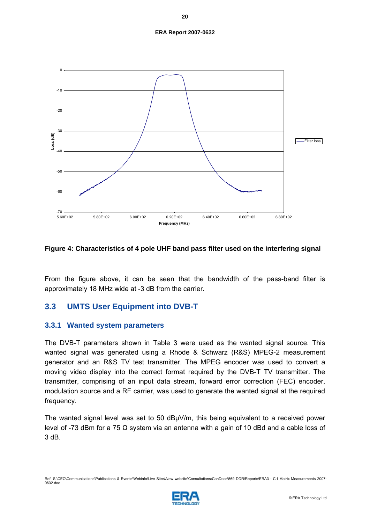**20**



### **Figure 4: Characteristics of 4 pole UHF band pass filter used on the interfering signal**

From the figure above, it can be seen that the bandwidth of the pass-band filter is approximately 18 MHz wide at -3 dB from the carrier.

# **3.3 UMTS User Equipment into DVB-T**

### **3.3.1 Wanted system parameters**

The DVB-T parameters shown in Table 3 were used as the wanted signal source. This wanted signal was generated using a Rhode & Schwarz (R&S) MPEG-2 measurement generator and an R&S TV test transmitter. The MPEG encoder was used to convert a moving video display into the correct format required by the DVB-T TV transmitter. The transmitter, comprising of an input data stream, forward error correction (FEC) encoder, modulation source and a RF carrier, was used to generate the wanted signal at the required frequency.

The wanted signal level was set to 50 dBµV/m, this being equivalent to a received power level of -73 dBm for a 75 Ω system via an antenna with a gain of 10 dBd and a cable loss of 3 dB.

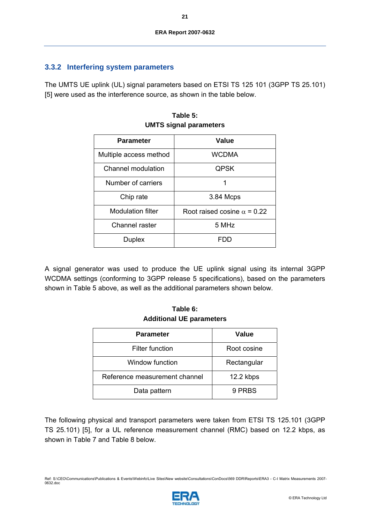# **3.3.2 Interfering system parameters**

The UMTS UE uplink (UL) signal parameters based on ETSI TS 125 101 (3GPP TS 25.101) [5] were used as the interference source, as shown in the table below.

| <b>Parameter</b>       | Value                              |
|------------------------|------------------------------------|
| Multiple access method | <b>WCDMA</b>                       |
| Channel modulation     | <b>QPSK</b>                        |
| Number of carriers     | 1                                  |
| Chip rate              | 3.84 Mcps                          |
| Modulation filter      | Root raised cosine $\alpha$ = 0.22 |
| Channel raster         | 5 MHz                              |
| <b>Duplex</b>          | FDD                                |

**Table 5: UMTS signal parameters** 

A signal generator was used to produce the UE uplink signal using its internal 3GPP WCDMA settings (conforming to 3GPP release 5 specifications), based on the parameters shown in Table 5 above, as well as the additional parameters shown below.

| Table 6:                        |  |  |  |  |  |  |  |
|---------------------------------|--|--|--|--|--|--|--|
| <b>Additional UE parameters</b> |  |  |  |  |  |  |  |

| <b>Parameter</b>              | <b>Value</b> |
|-------------------------------|--------------|
| <b>Filter function</b>        | Root cosine  |
| Window function               | Rectangular  |
| Reference measurement channel | 12.2 kbps    |
| Data pattern                  | 9 PRBS       |

The following physical and transport parameters were taken from ETSI TS 125.101 (3GPP TS 25.101) [5], for a UL reference measurement channel (RMC) based on 12.2 kbps, as shown in Table 7 and Table 8 below.

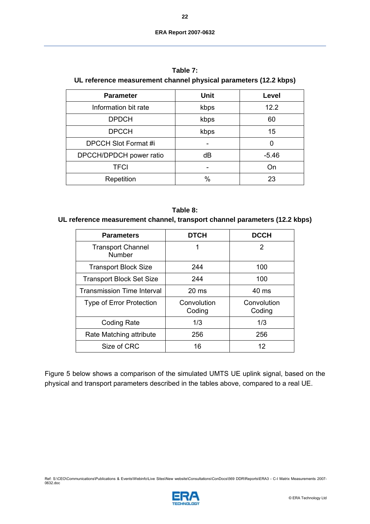**22**

| Table 7:                                                         |
|------------------------------------------------------------------|
| UL reference measurement channel physical parameters (12.2 kbps) |

| <b>Parameter</b>        | <b>Unit</b> | Level   |
|-------------------------|-------------|---------|
| Information bit rate    | kbps        | 12.2    |
| <b>DPDCH</b>            | kbps        | 60      |
| <b>DPCCH</b>            | kbps        | 15      |
| DPCCH Slot Format #i    |             | 0       |
| DPCCH/DPDCH power ratio | dB          | $-5.46$ |
| <b>TFCI</b>             |             | On      |
| Repetition              | %           | 23      |

#### **Table 8:**

### **UL reference measurement channel, transport channel parameters (12.2 kbps)**

| <b>Parameters</b>                  | <b>DTCH</b>           | <b>DCCH</b>           |
|------------------------------------|-----------------------|-----------------------|
| <b>Transport Channel</b><br>Number |                       | 2                     |
| <b>Transport Block Size</b>        | 244                   | 100                   |
| <b>Transport Block Set Size</b>    | 244                   | 100                   |
| <b>Transmission Time Interval</b>  | 20 <sub>ms</sub>      | 40 ms                 |
| <b>Type of Error Protection</b>    | Convolution<br>Coding | Convolution<br>Coding |
| <b>Coding Rate</b>                 | 1/3                   | 1/3                   |
| Rate Matching attribute            | 256                   | 256                   |
| Size of CRC                        | 16                    | 12                    |

Figure 5 below shows a comparison of the simulated UMTS UE uplink signal, based on the physical and transport parameters described in the tables above, compared to a real UE.

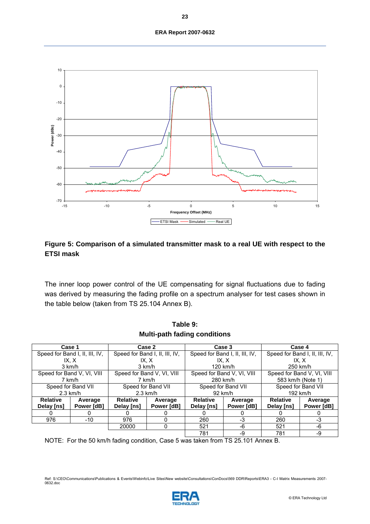

# **Figure 5: Comparison of a simulated transmitter mask to a real UE with respect to the ETSI mask**

The inner loop power control of the UE compensating for signal fluctuations due to fading was derived by measuring the fading profile on a spectrum analyser for test cases shown in the table below (taken from TS 25.104 Annex B).

| Case 1          |                                |                    | Case 2                         |                    | Case 3                         | Case 4                         |                            |  |
|-----------------|--------------------------------|--------------------|--------------------------------|--------------------|--------------------------------|--------------------------------|----------------------------|--|
|                 | Speed for Band I, II, III, IV, |                    | Speed for Band I, II, III, IV, |                    | Speed for Band I, II, III, IV, | Speed for Band I, II, III, IV, |                            |  |
|                 | IX. X                          |                    | IX. X                          | IX. X              |                                | IX. X                          |                            |  |
|                 | 3 km/h                         |                    | 3 km/h                         |                    | 120 km/h                       |                                | 250 km/h                   |  |
|                 | Speed for Band V, VI, VIII     |                    | Speed for Band V, VI, VIII     |                    | Speed for Band V, VI, VIII     |                                | Speed for Band V, VI, VIII |  |
| 7 km/h          |                                | 7 km/h             |                                | 280 km/h           |                                |                                | 583 km/h (Note 1)          |  |
|                 | Speed for Band VII             | Speed for Band VII |                                | Speed for Band VII |                                |                                | Speed for Band VII         |  |
|                 | $2.3$ km/h                     | $2.3$ km/h         |                                | 92 km/h            |                                |                                | 192 km/h                   |  |
| <b>Relative</b> | Average                        | <b>Relative</b>    | Average                        | <b>Relative</b>    | <b>Relative</b><br>Average     |                                | Average                    |  |
| Delay [ns]      | <b>Power [dB]</b>              | Delay [ns]         | <b>Power [dB]</b>              | Delay [ns]         | <b>Power [dB]</b>              | Delay [ns]                     | Power [dB]                 |  |
| 0               | O                              | 0                  |                                | 0                  |                                |                                | 0                          |  |
| 976             | -10                            | 976<br>0           |                                | 260                | -3                             | 260                            | -3                         |  |
|                 |                                | 20000              | 0                              | 521                | -6                             | 521                            | -6                         |  |
|                 |                                |                    |                                | 781                | -9                             | 781                            | -9                         |  |

**Table 9: Multi-path fading conditions** 

NOTE: For the 50 km/h fading condition, Case 5 was taken from TS 25.101 Annex B.

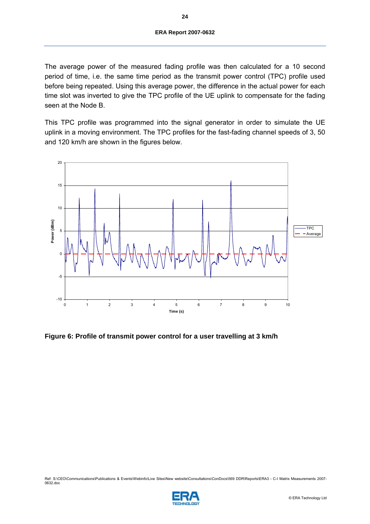The average power of the measured fading profile was then calculated for a 10 second period of time, i.e. the same time period as the transmit power control (TPC) profile used before being repeated. Using this average power, the difference in the actual power for each time slot was inverted to give the TPC profile of the UE uplink to compensate for the fading seen at the Node B.

This TPC profile was programmed into the signal generator in order to simulate the UE uplink in a moving environment. The TPC profiles for the fast-fading channel speeds of 3, 50 and 120 km/h are shown in the figures below.



**Figure 6: Profile of transmit power control for a user travelling at 3 km/h** 

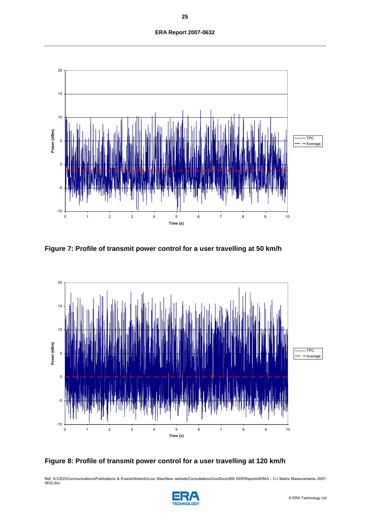

**Figure 7: Profile of transmit power control for a user travelling at 50 km/h** 





te\Consultations\ConDocs\569 DDR\Reports\ERA3 - C-I Matrix Measurements 2007-Ref: S:\CEO\Communications\Publications & Events\Webinfo\Live Sites\New<br>0632.doc

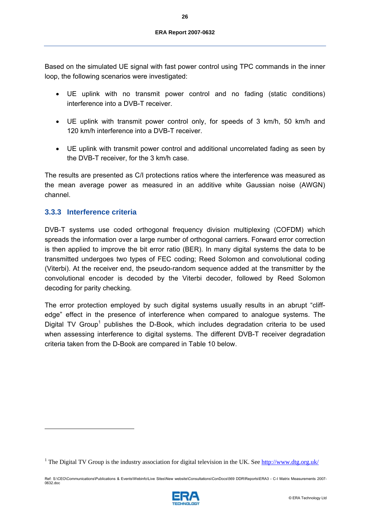Based on the simulated UE signal with fast power control using TPC commands in the inner loop, the following scenarios were investigated:

- UE uplink with no transmit power control and no fading (static conditions) interference into a DVB-T receiver.
- UE uplink with transmit power control only, for speeds of 3 km/h, 50 km/h and 120 km/h interference into a DVB-T receiver.
- UE uplink with transmit power control and additional uncorrelated fading as seen by the DVB-T receiver, for the 3 km/h case.

The results are presented as C/I protections ratios where the interference was measured as the mean average power as measured in an additive white Gaussian noise (AWGN) channel.

### **3.3.3 Interference criteria**

-

DVB-T systems use coded orthogonal frequency division multiplexing (COFDM) which spreads the information over a large number of orthogonal carriers. Forward error correction is then applied to improve the bit error ratio (BER). In many digital systems the data to be transmitted undergoes two types of FEC coding; Reed Solomon and convolutional coding (Viterbi). At the receiver end, the pseudo-random sequence added at the transmitter by the convolutional encoder is decoded by the Viterbi decoder, followed by Reed Solomon decoding for parity checking.

The error protection employed by such digital systems usually results in an abrupt "cliffedge" effect in the presence of interference when compared to analogue systems. The Digital TV Group<sup>1</sup> publishes the D-Book, which includes degradation criteria to be used when assessing interference to digital systems. The different DVB-T receiver degradation criteria taken from the D-Book are compared in Table 10 below.

Ref: S:\CEO\Communications\Publications & Events\Webinfo\Live Sites\New website\Consultations\ConDocs\569 DDR\Reports\ERA3 - C-I Matrix Measurements 2007-0632.doc



<sup>&</sup>lt;sup>1</sup> The Digital TV Group is the industry association for digital television in the UK. See http://www.dtg.org.uk/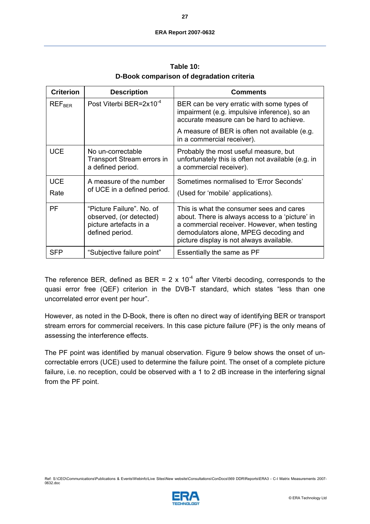| <b>Criterion</b>   | <b>Description</b>                                                                                | <b>Comments</b>                                                                                                                                                                                                                  |
|--------------------|---------------------------------------------------------------------------------------------------|----------------------------------------------------------------------------------------------------------------------------------------------------------------------------------------------------------------------------------|
| REF <sub>BER</sub> | Post Viterbi BER=2x10 <sup>-4</sup>                                                               | BER can be very erratic with some types of<br>impairment (e.g. impulsive inference), so an<br>accurate measure can be hard to achieve.                                                                                           |
|                    |                                                                                                   | A measure of BER is often not available (e.g.<br>in a commercial receiver).                                                                                                                                                      |
| <b>UCE</b>         | No un-correctable<br>Transport Stream errors in<br>a defined period.                              | Probably the most useful measure, but<br>unfortunately this is often not available (e.g. in<br>a commercial receiver).                                                                                                           |
| <b>UCE</b>         | A measure of the number                                                                           | Sometimes normalised to 'Error Seconds'                                                                                                                                                                                          |
| Rate               | of UCE in a defined period.                                                                       | (Used for 'mobile' applications).                                                                                                                                                                                                |
| <b>PF</b>          | "Picture Failure". No. of<br>observed, (or detected)<br>picture artefacts in a<br>defined period. | This is what the consumer sees and cares<br>about. There is always access to a 'picture' in<br>a commercial receiver. However, when testing<br>demodulators alone, MPEG decoding and<br>picture display is not always available. |
| <b>SFP</b>         | "Subjective failure point"                                                                        | Essentially the same as PF                                                                                                                                                                                                       |

# **Table 10: D-Book comparison of degradation criteria**

The reference BER, defined as BER =  $2 \times 10^{-4}$  after Viterbi decoding, corresponds to the quasi error free (QEF) criterion in the DVB-T standard, which states "less than one uncorrelated error event per hour".

However, as noted in the D-Book, there is often no direct way of identifying BER or transport stream errors for commercial receivers. In this case picture failure (PF) is the only means of assessing the interference effects.

The PF point was identified by manual observation. Figure 9 below shows the onset of uncorrectable errors (UCE) used to determine the failure point. The onset of a complete picture failure, i.e. no reception, could be observed with a 1 to 2 dB increase in the interfering signal from the PF point.

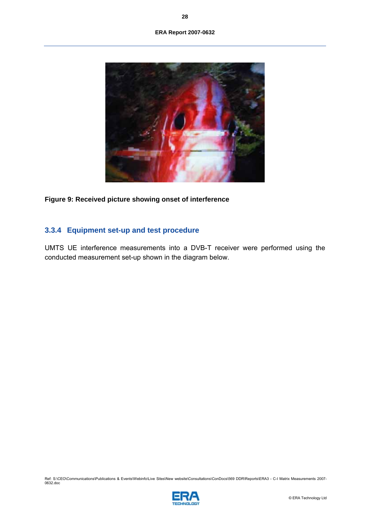

**Figure 9: Received picture showing onset of interference** 

# **3.3.4 Equipment set-up and test procedure**

UMTS UE interference measurements into a DVB-T receiver were performed using the conducted measurement set-up shown in the diagram below.

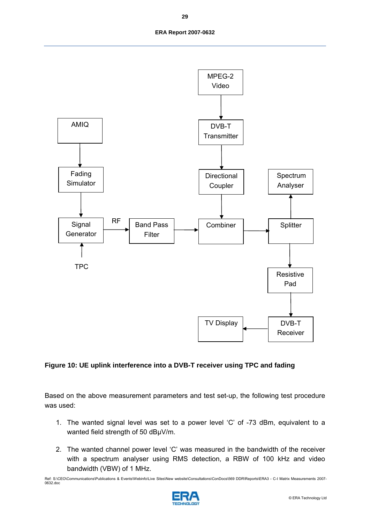

# **Figure 10: UE uplink interference into a DVB-T receiver using TPC and fading**

Based on the above measurement parameters and test set-up, the following test procedure was used:

- 1. The wanted signal level was set to a power level 'C' of -73 dBm, equivalent to a wanted field strength of 50 dBµV/m.
- 2. The wanted channel power level 'C' was measured in the bandwidth of the receiver with a spectrum analyser using RMS detection, a RBW of 100 kHz and video bandwidth (VBW) of 1 MHz.

Ref: S:\CEO\Communications\Publications & Events\Webinfo\Live Sites\New website\Consultations\ConDocs\569 DDR\Reports\ERA3 - C-I Matrix Measurements 2007- 0632.doc

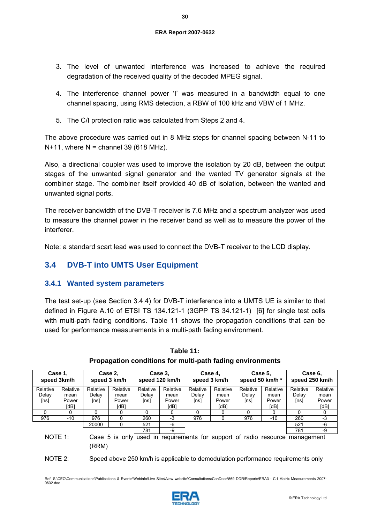- 3. The level of unwanted interference was increased to achieve the required degradation of the received quality of the decoded MPEG signal.
- 4. The interference channel power 'I' was measured in a bandwidth equal to one channel spacing, using RMS detection, a RBW of 100 kHz and VBW of 1 MHz.
- 5. The C/I protection ratio was calculated from Steps 2 and 4.

The above procedure was carried out in 8 MHz steps for channel spacing between N-11 to  $N+11$ , where N = channel 39 (618 MHz).

Also, a directional coupler was used to improve the isolation by 20 dB, between the output stages of the unwanted signal generator and the wanted TV generator signals at the combiner stage. The combiner itself provided 40 dB of isolation, between the wanted and unwanted signal ports.

The receiver bandwidth of the DVB-T receiver is 7.6 MHz and a spectrum analyzer was used to measure the channel power in the receiver band as well as to measure the power of the interferer.

Note: a standard scart lead was used to connect the DVB-T receiver to the LCD display.

# **3.4 DVB-T into UMTS User Equipment**

### **3.4.1 Wanted system parameters**

The test set-up (see Section 3.4.4) for DVB-T interference into a UMTS UE is similar to that defined in Figure A.10 of ETSI TS 134.121-1 (3GPP TS 34.121-1) [6] for single test cells with multi-path fading conditions. Table 11 shows the propagation conditions that can be used for performance measurements in a multi-path fading environment.

| Case 2.<br>Case 1.<br>speed 3km/h<br>speed 3 km/h                                                |                                                                                             |                           | Case 3.<br>speed 120 km/h |                           | Case 4.<br>speed 3 km/h   |                           | Case 5.<br>speed 50 km/h * |                           | Case 6,<br>speed 250 km/h |                           |                           |
|--------------------------------------------------------------------------------------------------|---------------------------------------------------------------------------------------------|---------------------------|---------------------------|---------------------------|---------------------------|---------------------------|----------------------------|---------------------------|---------------------------|---------------------------|---------------------------|
| Relative<br>Delay<br>[ns]                                                                        | Relative<br>mean<br>Power                                                                   | Relative<br>Delav<br>[ns] | Relative<br>mean<br>Power | Relative<br>Delay<br>[ns] | Relative<br>mean<br>Power | Relative<br>Delay<br>[ns] | Relative<br>mean<br>Power  | Relative<br>Delay<br>[ns] | Relative<br>mean<br>Power | Relative<br>Delay<br>[ns] | Relative<br>mean<br>Power |
| 0                                                                                                | [dB]<br>0                                                                                   | 0                         | [dB]<br>0                 | 0                         | [dB]<br>0                 | 0                         | [dB]<br>0                  | 0                         | [dB]<br>$\Omega$          | 0                         | [dB]<br>$\Omega$          |
| 976                                                                                              | $-10$                                                                                       | 976                       | U                         | 260                       | $-3$                      | 976                       |                            | 976                       | $-10$                     | 260                       | -3                        |
|                                                                                                  |                                                                                             | 20000                     | 0                         | 521                       | -6                        |                           |                            |                           |                           | 521                       | -6                        |
|                                                                                                  |                                                                                             |                           |                           | 781                       | -9                        |                           |                            |                           |                           | 781                       | -9                        |
| NOTE 1:<br>Case 5 is only used in requirements for support of radio resource management<br>(RRM) |                                                                                             |                           |                           |                           |                           |                           |                            |                           |                           |                           |                           |
|                                                                                                  | NOTE 2:<br>Speed above 250 km/h is applicable to demodulation performance requirements only |                           |                           |                           |                           |                           |                            |                           |                           |                           |                           |

**Table 11: Propagation conditions for multi-path fading environments** 

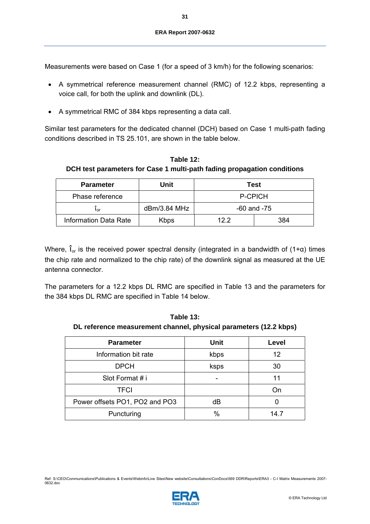Measurements were based on Case 1 (for a speed of 3 km/h) for the following scenarios:

- A symmetrical reference measurement channel (RMC) of 12.2 kbps, representing a voice call, for both the uplink and downlink (DL).
- A symmetrical RMC of 384 kbps representing a data call.

Similar test parameters for the dedicated channel (DCH) based on Case 1 multi-path fading conditions described in TS 25.101, are shown in the table below.

**Table 12: DCH test parameters for Case 1 multi-path fading propagation conditions** 

| <b>Parameter</b>             | Unit         | Test            |     |
|------------------------------|--------------|-----------------|-----|
| Phase reference              |              | P-CPICH         |     |
| I∩r                          | dBm/3.84 MHz | $-60$ and $-75$ |     |
| <b>Information Data Rate</b> | <b>Kbps</b>  | 12.2            | 384 |

Where,  $\hat{\mathbf{l}}_{\text{or}}$  is the received power spectral density (integrated in a bandwidth of (1+ $\alpha$ ) times the chip rate and normalized to the chip rate) of the downlink signal as measured at the UE antenna connector.

The parameters for a 12.2 kbps DL RMC are specified in Table 13 and the parameters for the 384 kbps DL RMC are specified in Table 14 below.

| <b>Parameter</b>               | Unit | Level |
|--------------------------------|------|-------|
| Information bit rate           | kbps | 12    |
| <b>DPCH</b>                    | ksps | 30    |
| Slot Format # i                |      | 11    |
| <b>TFCI</b>                    |      | On    |
| Power offsets PO1, PO2 and PO3 | dB   |       |
| Puncturing                     | $\%$ | 14.7  |

**Table 13: DL reference measurement channel, physical parameters (12.2 kbps)** 

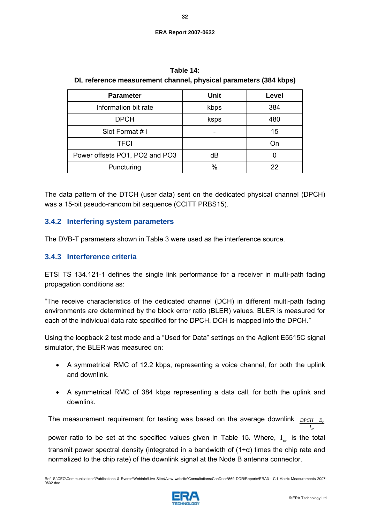| <b>Parameter</b>               | Unit | Level |
|--------------------------------|------|-------|
| Information bit rate           | kbps | 384   |
| <b>DPCH</b>                    | ksps | 480   |
| Slot Format # i                |      | 15    |
| <b>TFCI</b>                    |      | On    |
| Power offsets PO1, PO2 and PO3 | dB   | 0     |
| Puncturing                     | $\%$ | 22    |

| Table 14:                                                        |
|------------------------------------------------------------------|
| DL reference measurement channel, physical parameters (384 kbps) |

The data pattern of the DTCH (user data) sent on the dedicated physical channel (DPCH) was a 15-bit pseudo-random bit sequence (CCITT PRBS15).

# **3.4.2 Interfering system parameters**

The DVB-T parameters shown in Table 3 were used as the interference source.

# **3.4.3 Interference criteria**

ETSI TS 134.121-1 defines the single link performance for a receiver in multi-path fading propagation conditions as:

"The receive characteristics of the dedicated channel (DCH) in different multi-path fading environments are determined by the block error ratio (BLER) values. BLER is measured for each of the individual data rate specified for the DPCH. DCH is mapped into the DPCH."

Using the loopback 2 test mode and a "Used for Data" settings on the Agilent E5515C signal simulator, the BLER was measured on:

- A symmetrical RMC of 12.2 kbps, representing a voice channel, for both the uplink and downlink.
- A symmetrical RMC of 384 kbps representing a data call, for both the uplink and downlink.

The measurement requirement for testing was based on the average downlink *DPCH*  $_E$ *or I*

power ratio to be set at the specified values given in Table 15. Where,  $I_{\alpha}$  is the total transmit power spectral density (integrated in a bandwidth of  $(1+\alpha)$  times the chip rate and normalized to the chip rate) of the downlink signal at the Node B antenna connector.

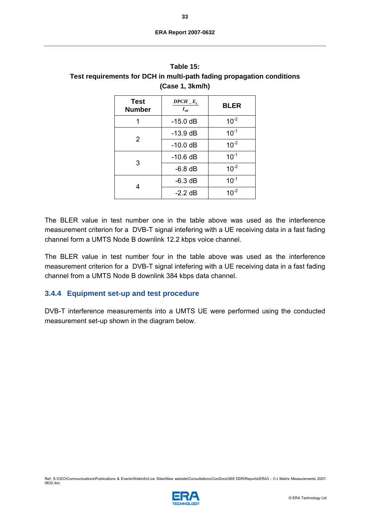| Table 15:                                                             |
|-----------------------------------------------------------------------|
| Test requirements for DCH in multi-path fading propagation conditions |
| (Case 1, 3km/h)                                                       |

| <b>Test</b><br><b>Number</b> | $DPCH\_E_c$<br>$I_{or}$ | <b>BLER</b> |
|------------------------------|-------------------------|-------------|
| 1                            | $-15.0$ dB              | $10^{-2}$   |
| $\overline{2}$               | $-13.9$ dB              | $10^{-1}$   |
|                              | $-10.0$ dB              | $10^{-2}$   |
| 3                            | $-10.6$ dB              | $10^{-1}$   |
|                              | $-6.8$ dB               | $10^{-2}$   |
|                              | $-6.3 dB$               | $10^{-1}$   |
|                              | $-2.2$ dB               | $10^{-2}$   |

The BLER value in test number one in the table above was used as the interference measurement criterion for a DVB-T signal intefering with a UE receiving data in a fast fading channel form a UMTS Node B downlink 12.2 kbps voice channel.

The BLER value in test number four in the table above was used as the interference measurement criterion for a DVB-T signal intefering with a UE receiving data in a fast fading channel from a UMTS Node B downlink 384 kbps data channel.

# **3.4.4 Equipment set-up and test procedure**

DVB-T interference measurements into a UMTS UE were performed using the conducted measurement set-up shown in the diagram below.

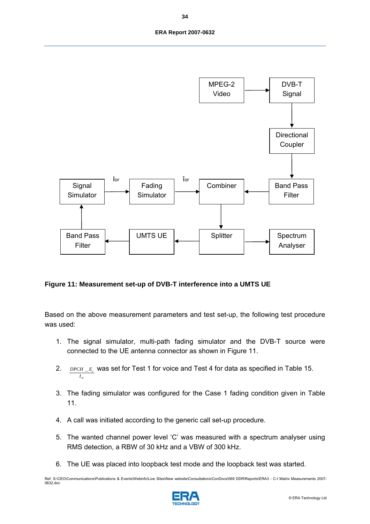

# **Figure 11: Measurement set-up of DVB-T interference into a UMTS UE**

Based on the above measurement parameters and test set-up, the following test procedure was used:

- 1. The signal simulator, multi-path fading simulator and the DVB-T source were connected to the UE antenna connector as shown in Figure 11.
- 2. *or I c DPCH* \_ *E* was set for Test 1 for voice and Test 4 for data as specified in Table 15.
- 3. The fading simulator was configured for the Case 1 fading condition given in Table 11.
- 4. A call was initiated according to the generic call set-up procedure.
- 5. The wanted channel power level 'C' was measured with a spectrum analyser using RMS detection, a RBW of 30 kHz and a VBW of 300 kHz.
- 6. The UE was placed into loopback test mode and the loopback test was started.

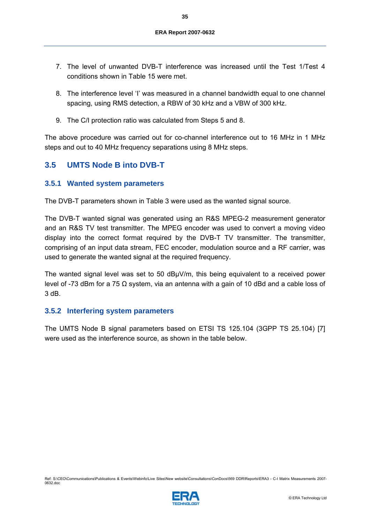- 7. The level of unwanted DVB-T interference was increased until the Test 1/Test 4 conditions shown in Table 15 were met.
- 8. The interference level 'I' was measured in a channel bandwidth equal to one channel spacing, using RMS detection, a RBW of 30 kHz and a VBW of 300 kHz.
- 9. The C/I protection ratio was calculated from Steps 5 and 8.

The above procedure was carried out for co-channel interference out to 16 MHz in 1 MHz steps and out to 40 MHz frequency separations using 8 MHz steps.

# **3.5 UMTS Node B into DVB-T**

### **3.5.1 Wanted system parameters**

The DVB-T parameters shown in Table 3 were used as the wanted signal source.

The DVB-T wanted signal was generated using an R&S MPEG-2 measurement generator and an R&S TV test transmitter. The MPEG encoder was used to convert a moving video display into the correct format required by the DVB-T TV transmitter. The transmitter, comprising of an input data stream, FEC encoder, modulation source and a RF carrier, was used to generate the wanted signal at the required frequency.

The wanted signal level was set to 50 dBµV/m, this being equivalent to a received power level of -73 dBm for a 75 Ω system, via an antenna with a gain of 10 dBd and a cable loss of 3 dB.

### **3.5.2 Interfering system parameters**

The UMTS Node B signal parameters based on ETSI TS 125.104 (3GPP TS 25.104) [7] were used as the interference source, as shown in the table below.

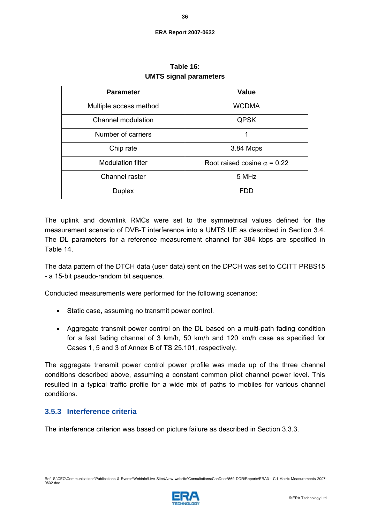| <b>Parameter</b>         | <b>Value</b>                       |
|--------------------------|------------------------------------|
| Multiple access method   | <b>WCDMA</b>                       |
| Channel modulation       | <b>QPSK</b>                        |
| Number of carriers       | 1                                  |
| Chip rate                | 3.84 Mcps                          |
| <b>Modulation filter</b> | Root raised cosine $\alpha$ = 0.22 |
| Channel raster           | 5 MHz                              |
| <b>Duplex</b>            | FDD                                |

**Table 16: UMTS signal parameters** 

The uplink and downlink RMCs were set to the symmetrical values defined for the measurement scenario of DVB-T interference into a UMTS UE as described in Section 3.4. The DL parameters for a reference measurement channel for 384 kbps are specified in Table 14.

The data pattern of the DTCH data (user data) sent on the DPCH was set to CCITT PRBS15 - a 15-bit pseudo-random bit sequence.

Conducted measurements were performed for the following scenarios:

- Static case, assuming no transmit power control.
- Aggregate transmit power control on the DL based on a multi-path fading condition for a fast fading channel of 3 km/h, 50 km/h and 120 km/h case as specified for Cases 1, 5 and 3 of Annex B of TS 25.101, respectively.

The aggregate transmit power control power profile was made up of the three channel conditions described above, assuming a constant common pilot channel power level. This resulted in a typical traffic profile for a wide mix of paths to mobiles for various channel conditions.

### **3.5.3 Interference criteria**

The interference criterion was based on picture failure as described in Section 3.3.3.

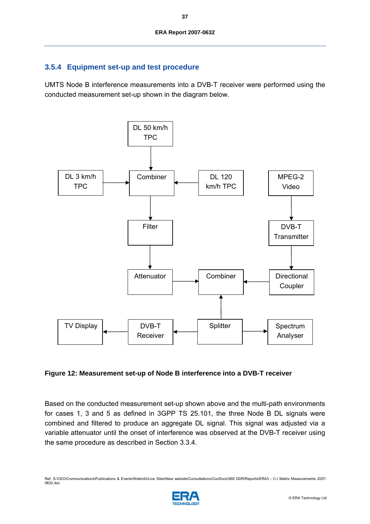**37**

# **3.5.4 Equipment set-up and test procedure**

UMTS Node B interference measurements into a DVB-T receiver were performed using the conducted measurement set-up shown in the diagram below.



### **Figure 12: Measurement set-up of Node B interference into a DVB-T receiver**

Based on the conducted measurement set-up shown above and the multi-path environments for cases 1, 3 and 5 as defined in 3GPP TS 25.101, the three Node B DL signals were combined and filtered to produce an aggregate DL signal. This signal was adjusted via a variable attenuator until the onset of interference was observed at the DVB-T receiver using the same procedure as described in Section 3.3.4.

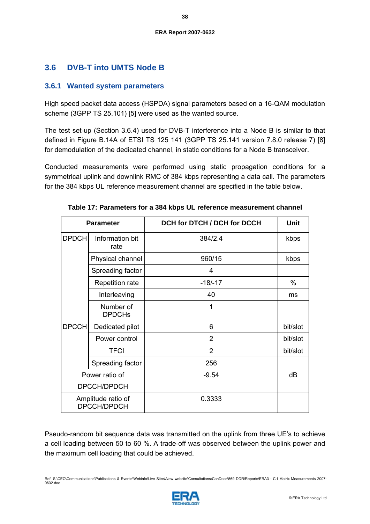# **3.6 DVB-T into UMTS Node B**

### **3.6.1 Wanted system parameters**

High speed packet data access (HSPDA) signal parameters based on a 16-QAM modulation scheme (3GPP TS 25.101) [5] were used as the wanted source.

The test set-up (Section 3.6.4) used for DVB-T interference into a Node B is similar to that defined in Figure B.14A of ETSI TS 125 141 (3GPP TS 25.141 version 7.8.0 release 7) [8] for demodulation of the dedicated channel, in static conditions for a Node B transceiver.

Conducted measurements were performed using static propagation conditions for a symmetrical uplink and downlink RMC of 384 kbps representing a data call. The parameters for the 384 kbps UL reference measurement channel are specified in the table below.

|              | <b>Parameter</b>                  | DCH for DTCH / DCH for DCCH | Unit     |
|--------------|-----------------------------------|-----------------------------|----------|
| <b>DPDCH</b> | Information bit<br>rate           | 384/2.4                     | kbps     |
|              | Physical channel                  | 960/15                      | kbps     |
|              | Spreading factor                  | 4                           |          |
|              | Repetition rate                   | $-18/ -17$                  | $\%$     |
|              | Interleaving                      | 40                          | ms       |
|              | Number of<br><b>DPDCHs</b>        | 1                           |          |
| <b>DPCCH</b> | Dedicated pilot                   | 6                           | bit/slot |
|              | Power control                     | 2                           | bit/slot |
|              | <b>TFCI</b>                       | 2                           | bit/slot |
|              | Spreading factor                  | 256                         |          |
|              | Power ratio of                    | $-9.54$                     | dB       |
|              | DPCCH/DPDCH                       |                             |          |
|              | Amplitude ratio of<br>DPCCH/DPDCH | 0.3333                      |          |

Pseudo-random bit sequence data was transmitted on the uplink from three UE's to achieve a cell loading between 50 to 60 %. A trade-off was observed between the uplink power and the maximum cell loading that could be achieved.

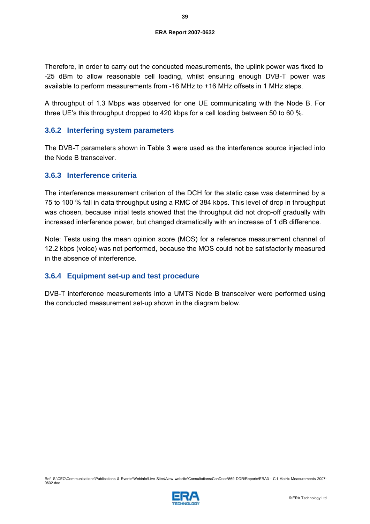Therefore, in order to carry out the conducted measurements, the uplink power was fixed to -25 dBm to allow reasonable cell loading, whilst ensuring enough DVB-T power was available to perform measurements from -16 MHz to +16 MHz offsets in 1 MHz steps.

A throughput of 1.3 Mbps was observed for one UE communicating with the Node B. For three UE's this throughput dropped to 420 kbps for a cell loading between 50 to 60 %.

### **3.6.2 Interfering system parameters**

The DVB-T parameters shown in Table 3 were used as the interference source injected into the Node B transceiver.

### **3.6.3 Interference criteria**

The interference measurement criterion of the DCH for the static case was determined by a 75 to 100 % fall in data throughput using a RMC of 384 kbps. This level of drop in throughput was chosen, because initial tests showed that the throughput did not drop-off gradually with increased interference power, but changed dramatically with an increase of 1 dB difference.

Note: Tests using the mean opinion score (MOS) for a reference measurement channel of 12.2 kbps (voice) was not performed, because the MOS could not be satisfactorily measured in the absence of interference.

### **3.6.4 Equipment set-up and test procedure**

DVB-T interference measurements into a UMTS Node B transceiver were performed using the conducted measurement set-up shown in the diagram below.

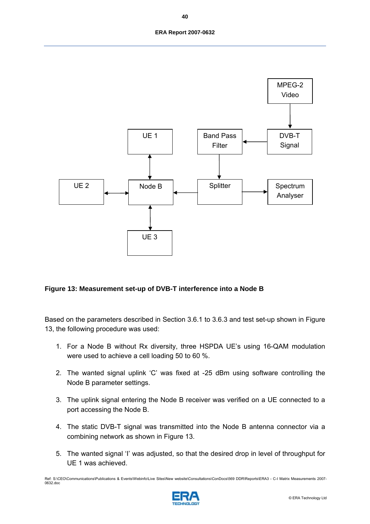

### **Figure 13: Measurement set-up of DVB-T interference into a Node B**

Based on the parameters described in Section 3.6.1 to 3.6.3 and test set-up shown in Figure 13, the following procedure was used:

- 1. For a Node B without Rx diversity, three HSPDA UE's using 16-QAM modulation were used to achieve a cell loading 50 to 60 %.
- 2. The wanted signal uplink 'C' was fixed at -25 dBm using software controlling the Node B parameter settings.
- 3. The uplink signal entering the Node B receiver was verified on a UE connected to a port accessing the Node B.
- 4. The static DVB-T signal was transmitted into the Node B antenna connector via a combining network as shown in Figure 13.
- 5. The wanted signal 'I' was adjusted, so that the desired drop in level of throughput for UE 1 was achieved.

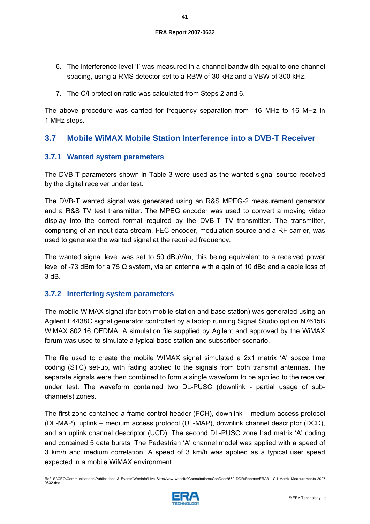- 6. The interference level 'I' was measured in a channel bandwidth equal to one channel spacing, using a RMS detector set to a RBW of 30 kHz and a VBW of 300 kHz.
- 7. The C/I protection ratio was calculated from Steps 2 and 6.

The above procedure was carried for frequency separation from -16 MHz to 16 MHz in 1 MHz steps.

## **3.7 Mobile WiMAX Mobile Station Interference into a DVB-T Receiver**

### **3.7.1 Wanted system parameters**

The DVB-T parameters shown in Table 3 were used as the wanted signal source received by the digital receiver under test.

The DVB-T wanted signal was generated using an R&S MPEG-2 measurement generator and a R&S TV test transmitter. The MPEG encoder was used to convert a moving video display into the correct format required by the DVB-T TV transmitter. The transmitter, comprising of an input data stream, FEC encoder, modulation source and a RF carrier, was used to generate the wanted signal at the required frequency.

The wanted signal level was set to 50 dBµV/m, this being equivalent to a received power level of -73 dBm for a 75 Ω system, via an antenna with a gain of 10 dBd and a cable loss of 3 dB.

### **3.7.2 Interfering system parameters**

The mobile WiMAX signal (for both mobile station and base station) was generated using an Agilent E4438C signal generator controlled by a laptop running Signal Studio option N7615B WiMAX 802.16 OFDMA. A simulation file supplied by Agilent and approved by the WiMAX forum was used to simulate a typical base station and subscriber scenario.

The file used to create the mobile WIMAX signal simulated a 2x1 matrix 'A' space time coding (STC) set-up, with fading applied to the signals from both transmit antennas. The separate signals were then combined to form a single waveform to be applied to the receiver under test. The waveform contained two DL-PUSC (downlink - partial usage of subchannels) zones.

The first zone contained a frame control header (FCH), downlink – medium access protocol (DL-MAP), uplink – medium access protocol (UL-MAP), downlink channel descriptor (DCD), and an uplink channel descriptor (UCD). The second DL-PUSC zone had matrix 'A' coding and contained 5 data bursts. The Pedestrian 'A' channel model was applied with a speed of 3 km/h and medium correlation. A speed of 3 km/h was applied as a typical user speed expected in a mobile WiMAX environment.

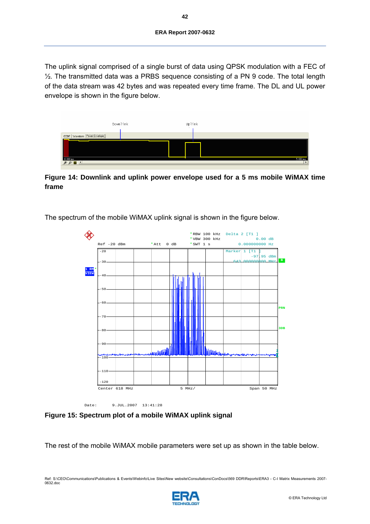The uplink signal comprised of a single burst of data using QPSK modulation with a FEC of ½. The transmitted data was a PRBS sequence consisting of a PN 9 code. The total length of the data stream was 42 bytes and was repeated every time frame. The DL and UL power envelope is shown in the figure below.



**Figure 14: Downlink and uplink power envelope used for a 5 ms mobile WiMAX time frame** 

The spectrum of the mobile WiMAX uplink signal is shown in the figure below.



Date: 9.JUL.2007 13:41:28

**Figure 15: Spectrum plot of a mobile WiMAX uplink signal** 

The rest of the mobile WiMAX mobile parameters were set up as shown in the table below.

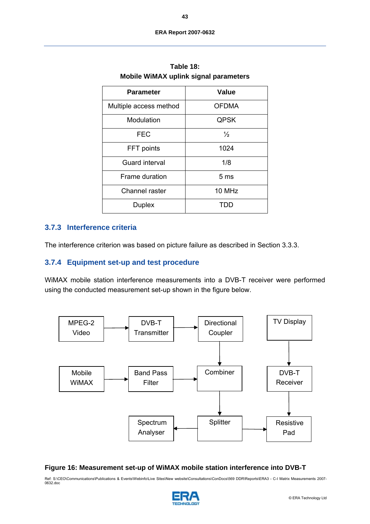| Value           |  |  |
|-----------------|--|--|
| <b>OFDMA</b>    |  |  |
| <b>QPSK</b>     |  |  |
| $\frac{1}{2}$   |  |  |
| 1024            |  |  |
| 1/8             |  |  |
| 5 <sub>ms</sub> |  |  |
| 10 MHz          |  |  |
| TDD             |  |  |
|                 |  |  |

| Table 18:                             |  |
|---------------------------------------|--|
| Mobile WiMAX uplink signal parameters |  |

### **3.7.3 Interference criteria**

The interference criterion was based on picture failure as described in Section 3.3.3.

### **3.7.4 Equipment set-up and test procedure**

WiMAX mobile station interference measurements into a DVB-T receiver were performed using the conducted measurement set-up shown in the figure below.



#### **Figure 16: Measurement set-up of WiMAX mobile station interference into DVB-T**

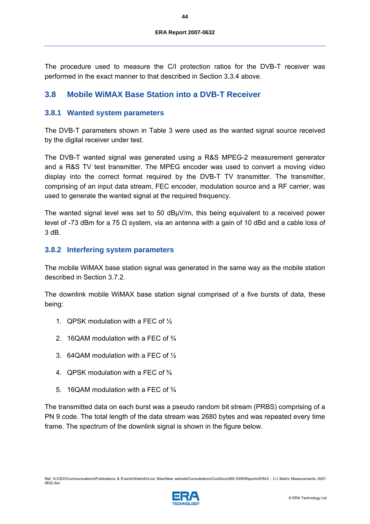The procedure used to measure the C/I protection ratios for the DVB-T receiver was performed in the exact manner to that described in Section 3.3.4 above.

# **3.8 Mobile WiMAX Base Station into a DVB-T Receiver**

### **3.8.1 Wanted system parameters**

The DVB-T parameters shown in Table 3 were used as the wanted signal source received by the digital receiver under test.

The DVB-T wanted signal was generated using a R&S MPEG-2 measurement generator and a R&S TV test transmitter. The MPEG encoder was used to convert a moving video display into the correct format required by the DVB-T TV transmitter. The transmitter, comprising of an input data stream, FEC encoder, modulation source and a RF carrier, was used to generate the wanted signal at the required frequency.

The wanted signal level was set to 50 dBµV/m, this being equivalent to a received power level of -73 dBm for a 75 Ω system, via an antenna with a gain of 10 dBd and a cable loss of 3 dB.

### **3.8.2 Interfering system parameters**

The mobile WiMAX base station signal was generated in the same way as the mobile station described in Section 3.7.2.

The downlink mobile WiMAX base station signal comprised of a five bursts of data, these being:

- 1. QPSK modulation with a FEC of ½
- 2. 16QAM modulation with a FFC of 3/4
- 3. 64QAM modulation with a FEC of ½
- 4. QPSK modulation with a FFC of 3/4
- 5. 16QAM modulation with a FEC of  $\frac{3}{4}$

The transmitted data on each burst was a pseudo random bit stream (PRBS) comprising of a PN 9 code. The total length of the data stream was 2680 bytes and was repeated every time frame. The spectrum of the downlink signal is shown in the figure below.

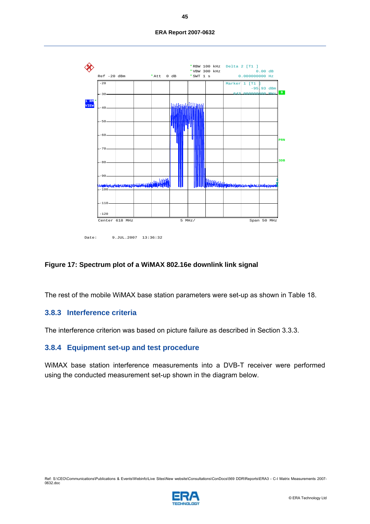

### **Figure 17: Spectrum plot of a WiMAX 802.16e downlink link signal**

The rest of the mobile WiMAX base station parameters were set-up as shown in Table 18.

## **3.8.3 Interference criteria**

The interference criterion was based on picture failure as described in Section 3.3.3.

#### **3.8.4 Equipment set-up and test procedure**

WiMAX base station interference measurements into a DVB-T receiver were performed using the conducted measurement set-up shown in the diagram below.

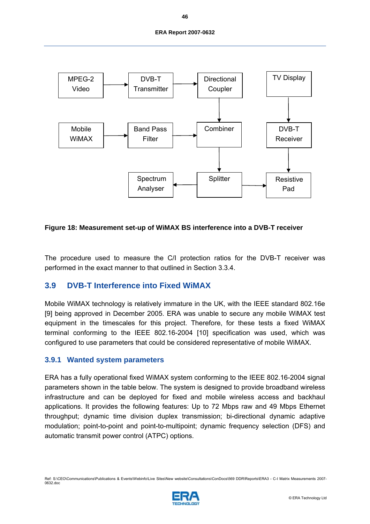

### **Figure 18: Measurement set-up of WiMAX BS interference into a DVB-T receiver**

The procedure used to measure the C/I protection ratios for the DVB-T receiver was performed in the exact manner to that outlined in Section 3.3.4.

# **3.9 DVB-T Interference into Fixed WiMAX**

Mobile WiMAX technology is relatively immature in the UK, with the IEEE standard 802.16e [9] being approved in December 2005. ERA was unable to secure any mobile WiMAX test equipment in the timescales for this project. Therefore, for these tests a fixed WiMAX terminal conforming to the IEEE 802.16-2004 [10] specification was used, which was configured to use parameters that could be considered representative of mobile WiMAX.

### **3.9.1 Wanted system parameters**

ERA has a fully operational fixed WiMAX system conforming to the IEEE 802.16-2004 signal parameters shown in the table below. The system is designed to provide broadband wireless infrastructure and can be deployed for fixed and mobile wireless access and backhaul applications. It provides the following features: Up to 72 Mbps raw and 49 Mbps Ethernet throughput; dynamic time division duplex transmission; bi-directional dynamic adaptive modulation; point-to-point and point-to-multipoint; dynamic frequency selection (DFS) and automatic transmit power control (ATPC) options.

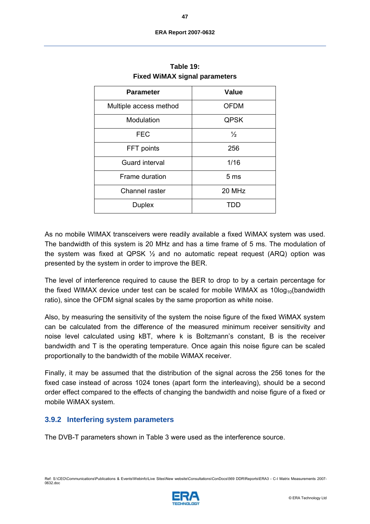**47**

| <b>Parameter</b>       | <b>Value</b>    |
|------------------------|-----------------|
| Multiple access method | <b>OFDM</b>     |
| Modulation             | <b>QPSK</b>     |
| <b>FEC</b>             | $\frac{1}{2}$   |
| FFT points             | 256             |
| Guard interval         | 1/16            |
| Frame duration         | 5 <sub>ms</sub> |
| Channel raster         | 20 MHz          |
| <b>Duplex</b>          | TDD             |

**Table 19: Fixed WiMAX signal parameters** 

As no mobile WIMAX transceivers were readily available a fixed WiMAX system was used. The bandwidth of this system is 20 MHz and has a time frame of 5 ms. The modulation of the system was fixed at QPSK ½ and no automatic repeat request (ARQ) option was presented by the system in order to improve the BER.

The level of interference required to cause the BER to drop to by a certain percentage for the fixed WIMAX device under test can be scaled for mobile WIMAX as  $10log_{10}(bandwidth)$ ratio), since the OFDM signal scales by the same proportion as white noise.

Also, by measuring the sensitivity of the system the noise figure of the fixed WiMAX system can be calculated from the difference of the measured minimum receiver sensitivity and noise level calculated using kBT, where k is Boltzmann's constant, B is the receiver bandwidth and T is the operating temperature. Once again this noise figure can be scaled proportionally to the bandwidth of the mobile WiMAX receiver.

Finally, it may be assumed that the distribution of the signal across the 256 tones for the fixed case instead of across 1024 tones (apart form the interleaving), should be a second order effect compared to the effects of changing the bandwidth and noise figure of a fixed or mobile WiMAX system.

# **3.9.2 Interfering system parameters**

The DVB-T parameters shown in Table 3 were used as the interference source.

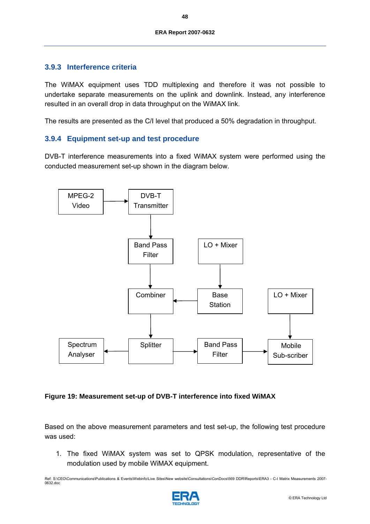### **3.9.3 Interference criteria**

The WiMAX equipment uses TDD multiplexing and therefore it was not possible to undertake separate measurements on the uplink and downlink. Instead, any interference resulted in an overall drop in data throughput on the WiMAX link.

The results are presented as the C/I level that produced a 50% degradation in throughput.

### **3.9.4 Equipment set-up and test procedure**

DVB-T interference measurements into a fixed WiMAX system were performed using the conducted measurement set-up shown in the diagram below.



#### **Figure 19: Measurement set-up of DVB-T interference into fixed WiMAX**

Based on the above measurement parameters and test set-up, the following test procedure was used:

1. The fixed WiMAX system was set to QPSK modulation, representative of the modulation used by mobile WiMAX equipment.

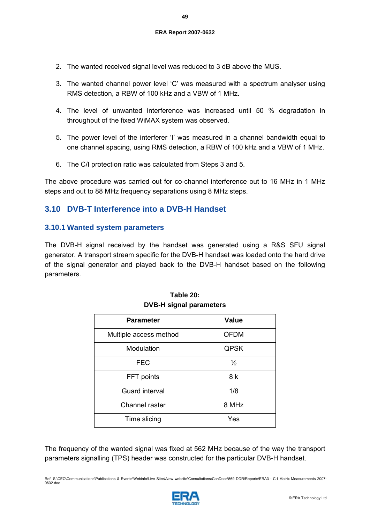- 2. The wanted received signal level was reduced to 3 dB above the MUS.
- 3. The wanted channel power level 'C' was measured with a spectrum analyser using RMS detection, a RBW of 100 kHz and a VBW of 1 MHz.
- 4. The level of unwanted interference was increased until 50 % degradation in throughput of the fixed WiMAX system was observed.
- 5. The power level of the interferer 'I' was measured in a channel bandwidth equal to one channel spacing, using RMS detection, a RBW of 100 kHz and a VBW of 1 MHz.
- 6. The C/I protection ratio was calculated from Steps 3 and 5.

The above procedure was carried out for co-channel interference out to 16 MHz in 1 MHz steps and out to 88 MHz frequency separations using 8 MHz steps.

### **3.10 DVB-T Interference into a DVB-H Handset**

#### **3.10.1 Wanted system parameters**

The DVB-H signal received by the handset was generated using a R&S SFU signal generator. A transport stream specific for the DVB-H handset was loaded onto the hard drive of the signal generator and played back to the DVB-H handset based on the following parameters.

| <b>Parameter</b>       | <b>Value</b>  |  |  |  |
|------------------------|---------------|--|--|--|
| Multiple access method | <b>OFDM</b>   |  |  |  |
| Modulation             | <b>QPSK</b>   |  |  |  |
| <b>FEC</b>             | $\frac{1}{2}$ |  |  |  |
| FFT points             | 8 k           |  |  |  |
| Guard interval         | 1/8           |  |  |  |
| Channel raster         | 8 MHz         |  |  |  |
| Time slicing           | Yes           |  |  |  |

#### **Table 20: DVB-H signal parameters**

The frequency of the wanted signal was fixed at 562 MHz because of the way the transport parameters signalling (TPS) header was constructed for the particular DVB-H handset.

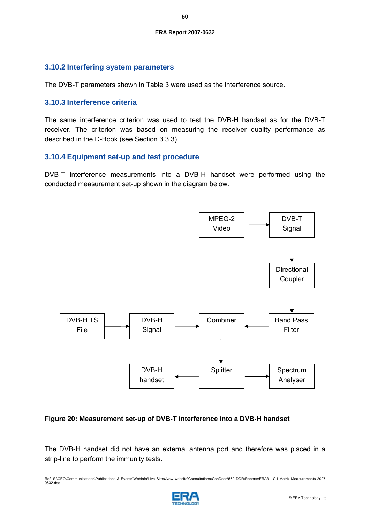## **3.10.2 Interfering system parameters**

The DVB-T parameters shown in Table 3 were used as the interference source.

### **3.10.3 Interference criteria**

The same interference criterion was used to test the DVB-H handset as for the DVB-T receiver. The criterion was based on measuring the receiver quality performance as described in the D-Book (see Section 3.3.3).

### **3.10.4 Equipment set-up and test procedure**

DVB-T interference measurements into a DVB-H handset were performed using the conducted measurement set-up shown in the diagram below.



### **Figure 20: Measurement set-up of DVB-T interference into a DVB-H handset**

The DVB-H handset did not have an external antenna port and therefore was placed in a strip-line to perform the immunity tests.

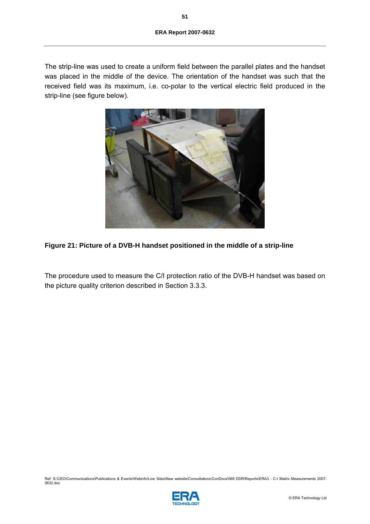The strip-line was used to create a uniform field between the parallel plates and the handset was placed in the middle of the device. The orientation of the handset was such that the received field was its maximum, i.e. co-polar to the vertical electric field produced in the strip-line (see figure below).



### **Figure 21: Picture of a DVB-H handset positioned in the middle of a strip-line**

The procedure used to measure the C/I protection ratio of the DVB-H handset was based on the picture quality criterion described in Section 3.3.3.

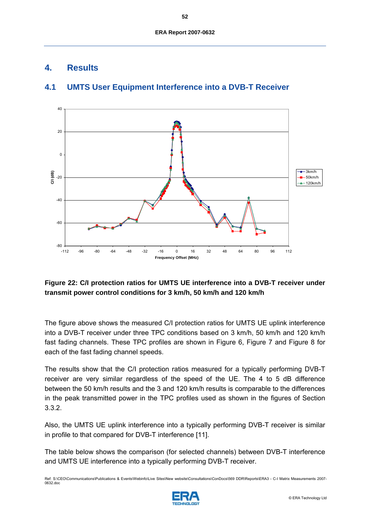# **4. Results**



# **4.1 UMTS User Equipment Interference into a DVB-T Receiver**

# **Figure 22: C/I protection ratios for UMTS UE interference into a DVB-T receiver under transmit power control conditions for 3 km/h, 50 km/h and 120 km/h**

The figure above shows the measured C/I protection ratios for UMTS UE uplink interference into a DVB-T receiver under three TPC conditions based on 3 km/h, 50 km/h and 120 km/h fast fading channels. These TPC profiles are shown in Figure 6, Figure 7 and Figure 8 for each of the fast fading channel speeds.

The results show that the C/I protection ratios measured for a typically performing DVB-T receiver are very similar regardless of the speed of the UE. The 4 to 5 dB difference between the 50 km/h results and the 3 and 120 km/h results is comparable to the differences in the peak transmitted power in the TPC profiles used as shown in the figures of Section 3.3.2.

Also, the UMTS UE uplink interference into a typically performing DVB-T receiver is similar in profile to that compared for DVB-T interference [11].

The table below shows the comparison (for selected channels) between DVB-T interference and UMTS UE interference into a typically performing DVB-T receiver.

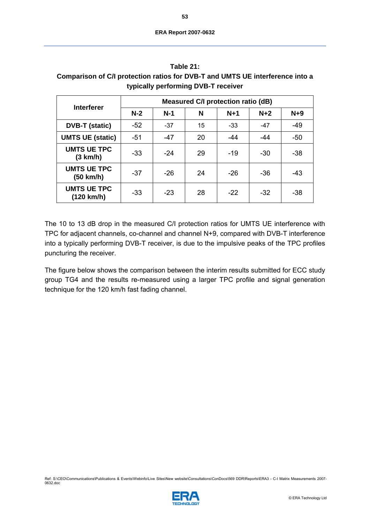**53**

| Table 21:                                                                     |
|-------------------------------------------------------------------------------|
| Comparison of C/I protection ratios for DVB-T and UMTS UE interference into a |
| typically performing DVB-T receiver                                           |

| <b>Interferer</b>                | Measured C/I protection ratio (dB) |       |    |       |       |       |  |
|----------------------------------|------------------------------------|-------|----|-------|-------|-------|--|
|                                  | $N-2$                              | $N-1$ | N  | $N+1$ | $N+2$ | $N+9$ |  |
| <b>DVB-T</b> (static)            | $-52$                              | $-37$ | 15 | $-33$ | $-47$ | $-49$ |  |
| <b>UMTS UE (static)</b>          | $-51$                              | $-47$ | 20 | -44   | $-44$ | $-50$ |  |
| <b>UMTS UE TPC</b><br>(3 km/h)   | $-33$                              | $-24$ | 29 | $-19$ | $-30$ | $-38$ |  |
| <b>UMTS UE TPC</b><br>(50 km/h)  | $-37$                              | -26   | 24 | $-26$ | -36   | -43   |  |
| <b>UMTS UE TPC</b><br>(120 km/h) | $-33$                              | $-23$ | 28 | $-22$ | $-32$ | $-38$ |  |

The 10 to 13 dB drop in the measured C/I protection ratios for UMTS UE interference with TPC for adjacent channels, co-channel and channel N+9, compared with DVB-T interference into a typically performing DVB-T receiver, is due to the impulsive peaks of the TPC profiles puncturing the receiver.

The figure below shows the comparison between the interim results submitted for ECC study group TG4 and the results re-measured using a larger TPC profile and signal generation technique for the 120 km/h fast fading channel.

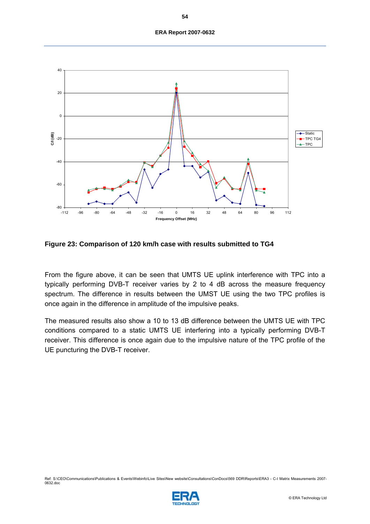**54**



**Figure 23: Comparison of 120 km/h case with results submitted to TG4** 

From the figure above, it can be seen that UMTS UE uplink interference with TPC into a typically performing DVB-T receiver varies by 2 to 4 dB across the measure frequency spectrum. The difference in results between the UMST UE using the two TPC profiles is once again in the difference in amplitude of the impulsive peaks.

The measured results also show a 10 to 13 dB difference between the UMTS UE with TPC conditions compared to a static UMTS UE interfering into a typically performing DVB-T receiver. This difference is once again due to the impulsive nature of the TPC profile of the UE puncturing the DVB-T receiver.

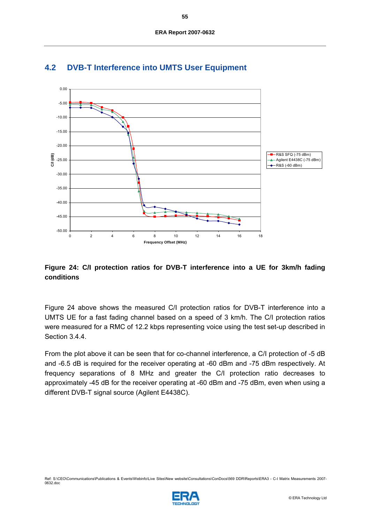

# **4.2 DVB-T Interference into UMTS User Equipment**

**Figure 24: C/I protection ratios for DVB-T interference into a UE for 3km/h fading conditions** 

Figure 24 above shows the measured C/I protection ratios for DVB-T interference into a UMTS UE for a fast fading channel based on a speed of 3 km/h. The C/I protection ratios were measured for a RMC of 12.2 kbps representing voice using the test set-up described in Section 3.4.4.

From the plot above it can be seen that for co-channel interference, a C/I protection of -5 dB and -6.5 dB is required for the receiver operating at -60 dBm and -75 dBm respectively. At frequency separations of 8 MHz and greater the C/I protection ratio decreases to approximately -45 dB for the receiver operating at -60 dBm and -75 dBm, even when using a different DVB-T signal source (Agilent E4438C).

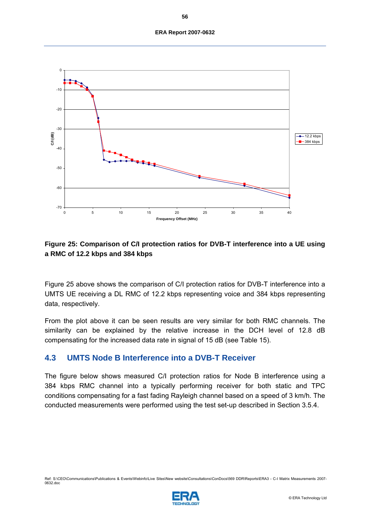

# **Figure 25: Comparison of C/I protection ratios for DVB-T interference into a UE using a RMC of 12.2 kbps and 384 kbps**

Figure 25 above shows the comparison of C/I protection ratios for DVB-T interference into a UMTS UE receiving a DL RMC of 12.2 kbps representing voice and 384 kbps representing data, respectively.

From the plot above it can be seen results are very similar for both RMC channels. The similarity can be explained by the relative increase in the DCH level of 12.8 dB compensating for the increased data rate in signal of 15 dB (see Table 15).

# **4.3 UMTS Node B Interference into a DVB-T Receiver**

The figure below shows measured C/I protection ratios for Node B interference using a 384 kbps RMC channel into a typically performing receiver for both static and TPC conditions compensating for a fast fading Rayleigh channel based on a speed of 3 km/h. The conducted measurements were performed using the test set-up described in Section 3.5.4.

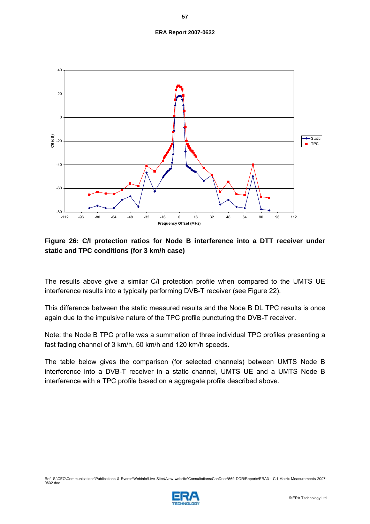

### **Figure 26: C/I protection ratios for Node B interference into a DTT receiver under static and TPC conditions (for 3 km/h case)**

The results above give a similar C/I protection profile when compared to the UMTS UE interference results into a typically performing DVB-T receiver (see Figure 22).

This difference between the static measured results and the Node B DL TPC results is once again due to the impulsive nature of the TPC profile puncturing the DVB-T receiver.

Note: the Node B TPC profile was a summation of three individual TPC profiles presenting a fast fading channel of 3 km/h, 50 km/h and 120 km/h speeds.

The table below gives the comparison (for selected channels) between UMTS Node B interference into a DVB-T receiver in a static channel, UMTS UE and a UMTS Node B interference with a TPC profile based on a aggregate profile described above.

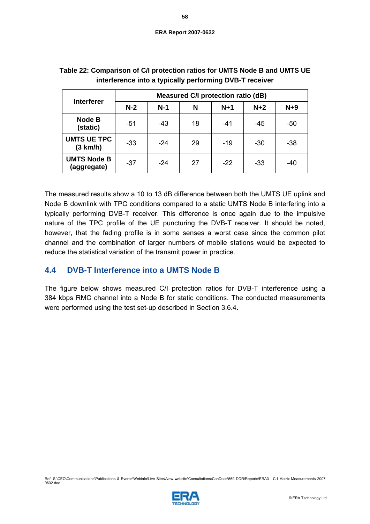**58**

| <b>Interferer</b>                 | Measured C/I protection ratio (dB) |       |    |       |       |       |  |  |
|-----------------------------------|------------------------------------|-------|----|-------|-------|-------|--|--|
|                                   | $N-2$                              | $N-1$ | N  | $N+1$ | $N+2$ | $N+9$ |  |  |
| <b>Node B</b><br>(static)         | -51                                | $-43$ | 18 | $-41$ | $-45$ | $-50$ |  |  |
| <b>UMTS UE TPC</b><br>(3 km/h)    | $-33$                              | $-24$ | 29 | $-19$ | $-30$ | $-38$ |  |  |
| <b>UMTS Node B</b><br>(aggregate) | $-37$                              | $-24$ | 27 | $-22$ | $-33$ | $-40$ |  |  |

## **Table 22: Comparison of C/I protection ratios for UMTS Node B and UMTS UE interference into a typically performing DVB-T receiver**

The measured results show a 10 to 13 dB difference between both the UMTS UE uplink and Node B downlink with TPC conditions compared to a static UMTS Node B interfering into a typically performing DVB-T receiver. This difference is once again due to the impulsive nature of the TPC profile of the UE puncturing the DVB-T receiver. It should be noted, however, that the fading profile is in some senses a worst case since the common pilot channel and the combination of larger numbers of mobile stations would be expected to reduce the statistical variation of the transmit power in practice.

# **4.4 DVB-T Interference into a UMTS Node B**

The figure below shows measured C/I protection ratios for DVB-T interference using a 384 kbps RMC channel into a Node B for static conditions. The conducted measurements were performed using the test set-up described in Section 3.6.4.

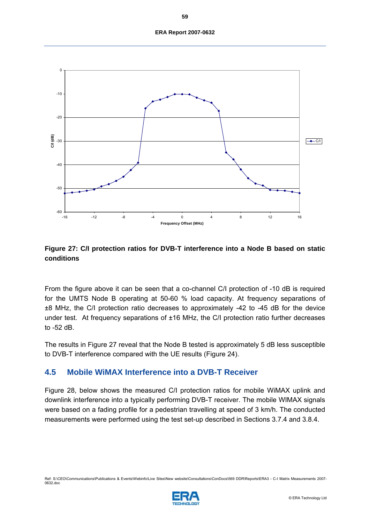

# **Figure 27: C/I protection ratios for DVB-T interference into a Node B based on static conditions**

From the figure above it can be seen that a co-channel C/I protection of -10 dB is required for the UMTS Node B operating at 50-60 % load capacity. At frequency separations of ±8 MHz, the C/I protection ratio decreases to approximately -42 to -45 dB for the device under test. At frequency separations of ±16 MHz, the C/I protection ratio further decreases to -52 dB.

The results in Figure 27 reveal that the Node B tested is approximately 5 dB less susceptible to DVB-T interference compared with the UE results (Figure 24).

# **4.5 Mobile WiMAX Interference into a DVB-T Receiver**

Figure 28, below shows the measured C/I protection ratios for mobile WiMAX uplink and downlink interference into a typically performing DVB-T receiver. The mobile WIMAX signals were based on a fading profile for a pedestrian travelling at speed of 3 km/h. The conducted measurements were performed using the test set-up described in Sections 3.7.4 and 3.8.4.

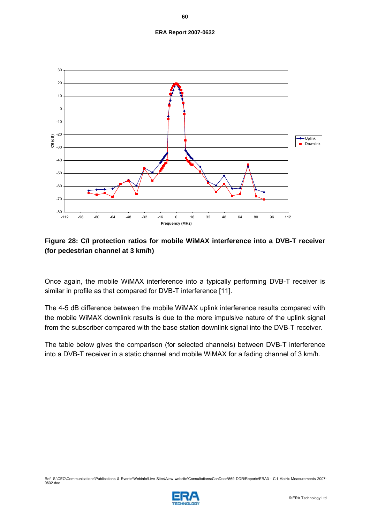**60**



## **Figure 28: C/I protection ratios for mobile WiMAX interference into a DVB-T receiver (for pedestrian channel at 3 km/h)**

Once again, the mobile WiMAX interference into a typically performing DVB-T receiver is similar in profile as that compared for DVB-T interference [11].

The 4-5 dB difference between the mobile WiMAX uplink interference results compared with the mobile WiMAX downlink results is due to the more impulsive nature of the uplink signal from the subscriber compared with the base station downlink signal into the DVB-T receiver.

The table below gives the comparison (for selected channels) between DVB-T interference into a DVB-T receiver in a static channel and mobile WiMAX for a fading channel of 3 km/h.

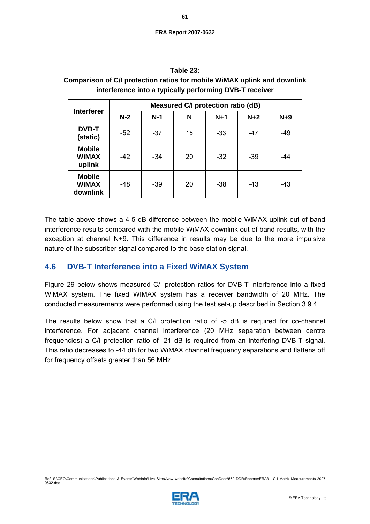**61**

| <b>Interferer</b>                         | <b>Measured C/I protection ratio (dB)</b> |       |    |       |       |       |  |  |
|-------------------------------------------|-------------------------------------------|-------|----|-------|-------|-------|--|--|
|                                           | $N-2$                                     | $N-1$ | N  | $N+1$ | $N+2$ | $N+9$ |  |  |
| <b>DVB-T</b><br>(static)                  | $-52$                                     | $-37$ | 15 | $-33$ | $-47$ | $-49$ |  |  |
| <b>Mobile</b><br><b>WiMAX</b><br>uplink   | $-42$                                     | $-34$ | 20 | $-32$ | $-39$ | $-44$ |  |  |
| <b>Mobile</b><br><b>WIMAX</b><br>downlink | -48                                       | $-39$ | 20 | $-38$ | $-43$ | $-43$ |  |  |

## **Table 23: Comparison of C/I protection ratios for mobile WiMAX uplink and downlink interference into a typically performing DVB-T receiver**

The table above shows a 4-5 dB difference between the mobile WiMAX uplink out of band interference results compared with the mobile WiMAX downlink out of band results, with the exception at channel N+9. This difference in results may be due to the more impulsive nature of the subscriber signal compared to the base station signal.

# **4.6 DVB-T Interference into a Fixed WiMAX System**

Figure 29 below shows measured C/I protection ratios for DVB-T interference into a fixed WiMAX system. The fixed WIMAX system has a receiver bandwidth of 20 MHz. The conducted measurements were performed using the test set-up described in Section 3.9.4.

The results below show that a C/I protection ratio of -5 dB is required for co-channel interference. For adjacent channel interference (20 MHz separation between centre frequencies) a C/I protection ratio of -21 dB is required from an interfering DVB-T signal. This ratio decreases to -44 dB for two WiMAX channel frequency separations and flattens off for frequency offsets greater than 56 MHz.



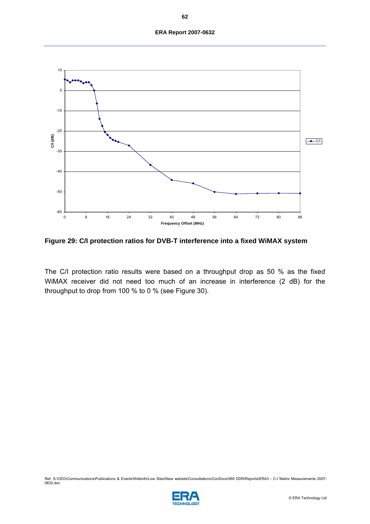**62**



**Figure 29: C/I protection ratios for DVB-T interference into a fixed WiMAX system** 

The C/I protection ratio results were based on a throughput drop as 50 % as the fixed WiMAX receiver did not need too much of an increase in interference (2 dB) for the throughput to drop from 100 % to 0 % (see Figure 30).

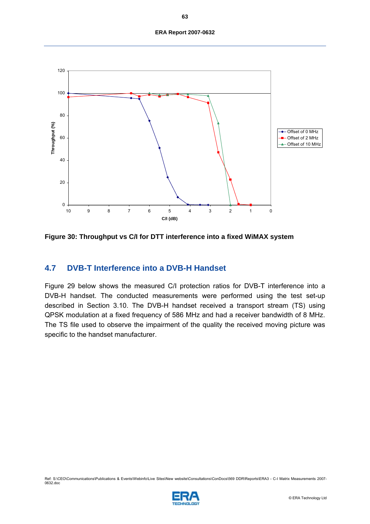

**Figure 30: Throughput vs C/I for DTT interference into a fixed WiMAX system** 

## **4.7 DVB-T Interference into a DVB-H Handset**

Figure 29 below shows the measured C/I protection ratios for DVB-T interference into a DVB-H handset. The conducted measurements were performed using the test set-up described in Section 3.10. The DVB-H handset received a transport stream (TS) using QPSK modulation at a fixed frequency of 586 MHz and had a receiver bandwidth of 8 MHz. The TS file used to observe the impairment of the quality the received moving picture was specific to the handset manufacturer.

Ref: S:\CEO\Communications\Publications & Events\Webinfo\Live Sites\New website\Consultations\ConDocs\569 DDR\Reports\ERA3 - C-I Matrix Measurements 2007-0632.doc



**63**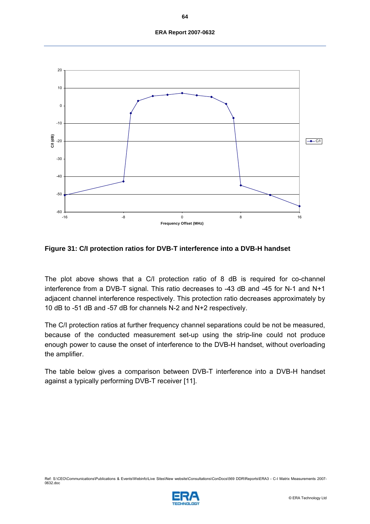

**Figure 31: C/I protection ratios for DVB-T interference into a DVB-H handset** 

The plot above shows that a C/I protection ratio of 8 dB is required for co-channel interference from a DVB-T signal. This ratio decreases to -43 dB and -45 for N-1 and N+1 adjacent channel interference respectively. This protection ratio decreases approximately by 10 dB to -51 dB and -57 dB for channels N-2 and N+2 respectively.

The C/I protection ratios at further frequency channel separations could be not be measured, because of the conducted measurement set-up using the strip-line could not produce enough power to cause the onset of interference to the DVB-H handset, without overloading the amplifier.

The table below gives a comparison between DVB-T interference into a DVB-H handset against a typically performing DVB-T receiver [11].

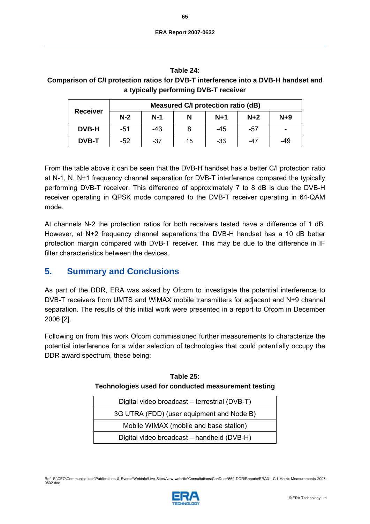**65**

## **Table 24: Comparison of C/I protection ratios for DVB-T interference into a DVB-H handset and a typically performing DVB-T receiver**

| <b>Receiver</b> | Measured C/I protection ratio (dB) |       |    |       |       |       |  |  |
|-----------------|------------------------------------|-------|----|-------|-------|-------|--|--|
|                 | $N-2$                              | $N-1$ | N  | $N+1$ | $N+2$ | $N+9$ |  |  |
| <b>DVB-H</b>    | $-51$                              | -43   |    | $-45$ | -57   |       |  |  |
| <b>DVB-T</b>    | $-52$                              | $-37$ | 15 | $-33$ | -47   | -49   |  |  |

From the table above it can be seen that the DVB-H handset has a better C/I protection ratio at N-1, N, N+1 frequency channel separation for DVB-T interference compared the typically performing DVB-T receiver. This difference of approximately 7 to 8 dB is due the DVB-H receiver operating in QPSK mode compared to the DVB-T receiver operating in 64-QAM mode.

At channels N-2 the protection ratios for both receivers tested have a difference of 1 dB. However, at N+2 frequency channel separations the DVB-H handset has a 10 dB better protection margin compared with DVB-T receiver. This may be due to the difference in IF filter characteristics between the devices.

# **5. Summary and Conclusions**

As part of the DDR, ERA was asked by Ofcom to investigate the potential interference to DVB-T receivers from UMTS and WiMAX mobile transmitters for adjacent and N+9 channel separation. The results of this initial work were presented in a report to Ofcom in December 2006 [2].

Following on from this work Ofcom commissioned further measurements to characterize the potential interference for a wider selection of technologies that could potentially occupy the DDR award spectrum, these being:

| Digital video broadcast – terrestrial (DVB-T) |  |
|-----------------------------------------------|--|
| 3G UTRA (FDD) (user equipment and Node B)     |  |
| Mobile WIMAX (mobile and base station)        |  |
| Digital video broadcast - handheld (DVB-H)    |  |

### **Table 25: Technologies used for conducted measurement testing**

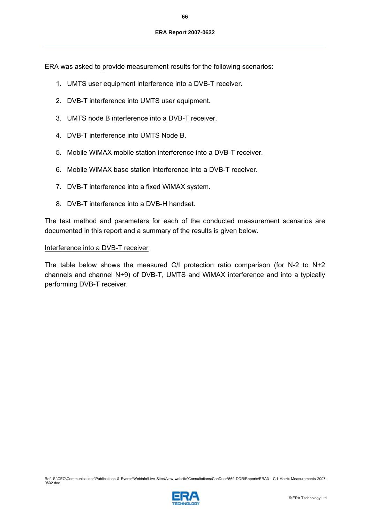ERA was asked to provide measurement results for the following scenarios:

- 1. UMTS user equipment interference into a DVB-T receiver.
- 2. DVB-T interference into UMTS user equipment.
- 3. UMTS node B interference into a DVB-T receiver.
- 4. DVB-T interference into UMTS Node B.
- 5. Mobile WiMAX mobile station interference into a DVB-T receiver.
- 6. Mobile WiMAX base station interference into a DVB-T receiver.
- 7. DVB-T interference into a fixed WiMAX system.
- 8. DVB-T interference into a DVB-H handset.

The test method and parameters for each of the conducted measurement scenarios are documented in this report and a summary of the results is given below.

#### Interference into a DVB-T receiver

The table below shows the measured C/I protection ratio comparison (for N-2 to N+2 channels and channel N+9) of DVB-T, UMTS and WiMAX interference and into a typically performing DVB-T receiver.

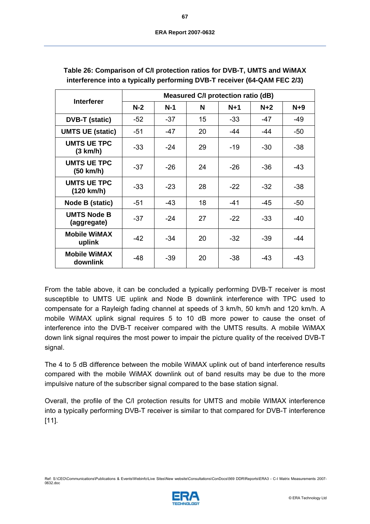| <b>Interferer</b>                 | <b>Measured C/I protection ratio (dB)</b> |       |    |       |       |       |  |
|-----------------------------------|-------------------------------------------|-------|----|-------|-------|-------|--|
|                                   | $N-2$                                     | $N-1$ | N  | $N+1$ | $N+2$ | $N+9$ |  |
| <b>DVB-T</b> (static)             | $-52$                                     | $-37$ | 15 | $-33$ | $-47$ | -49   |  |
| <b>UMTS UE (static)</b>           | -51                                       | $-47$ | 20 | -44   | -44   | -50   |  |
| <b>UMTS UE TPC</b><br>(3 km/h)    | -33                                       | $-24$ | 29 | -19   | -30   | $-38$ |  |
| <b>UMTS UE TPC</b><br>(50 km/h)   | $-37$                                     | -26   | 24 | $-26$ | $-36$ | -43   |  |
| <b>UMTS UE TPC</b><br>(120 km/h)  | -33                                       | $-23$ | 28 | $-22$ | $-32$ | -38   |  |
| Node B (static)                   | -51                                       | $-43$ | 18 | $-41$ | $-45$ | $-50$ |  |
| <b>UMTS Node B</b><br>(aggregate) | $-37$                                     | $-24$ | 27 | $-22$ | -33   | -40   |  |
| <b>Mobile WiMAX</b><br>uplink     | $-42$                                     | $-34$ | 20 | $-32$ | -39   | $-44$ |  |
| <b>Mobile WiMAX</b><br>downlink   | -48                                       | $-39$ | 20 | -38   | -43   | -43   |  |

# **Table 26: Comparison of C/I protection ratios for DVB-T, UMTS and WiMAX interference into a typically performing DVB-T receiver (64-QAM FEC 2/3)**

From the table above, it can be concluded a typically performing DVB-T receiver is most susceptible to UMTS UE uplink and Node B downlink interference with TPC used to compensate for a Rayleigh fading channel at speeds of 3 km/h, 50 km/h and 120 km/h. A mobile WiMAX uplink signal requires 5 to 10 dB more power to cause the onset of interference into the DVB-T receiver compared with the UMTS results. A mobile WiMAX down link signal requires the most power to impair the picture quality of the received DVB-T signal.

The 4 to 5 dB difference between the mobile WiMAX uplink out of band interference results compared with the mobile WiMAX downlink out of band results may be due to the more impulsive nature of the subscriber signal compared to the base station signal.

Overall, the profile of the C/I protection results for UMTS and mobile WIMAX interference into a typically performing DVB-T receiver is similar to that compared for DVB-T interference [11].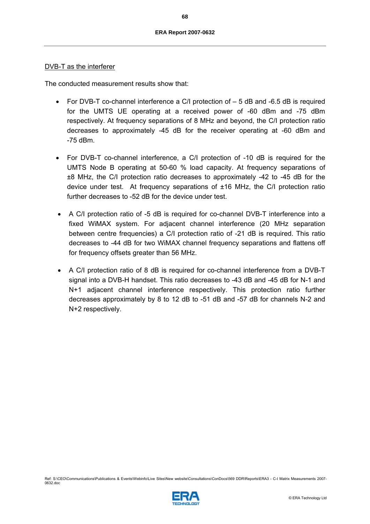#### DVB-T as the interferer

The conducted measurement results show that:

- For DVB-T co-channel interference a C/I protection of  $-5$  dB and  $-6.5$  dB is required for the UMTS UE operating at a received power of -60 dBm and -75 dBm respectively. At frequency separations of 8 MHz and beyond, the C/I protection ratio decreases to approximately -45 dB for the receiver operating at -60 dBm and -75 dBm.
- For DVB-T co-channel interference, a C/I protection of -10 dB is required for the UMTS Node B operating at 50-60 % load capacity. At frequency separations of ±8 MHz, the C/I protection ratio decreases to approximately -42 to -45 dB for the device under test. At frequency separations of ±16 MHz, the C/I protection ratio further decreases to -52 dB for the device under test.
- A C/I protection ratio of -5 dB is required for co-channel DVB-T interference into a fixed WiMAX system. For adjacent channel interference (20 MHz separation between centre frequencies) a C/I protection ratio of -21 dB is required. This ratio decreases to -44 dB for two WiMAX channel frequency separations and flattens off for frequency offsets greater than 56 MHz.
- A C/I protection ratio of 8 dB is required for co-channel interference from a DVB-T signal into a DVB-H handset. This ratio decreases to -43 dB and -45 dB for N-1 and N+1 adjacent channel interference respectively. This protection ratio further decreases approximately by 8 to 12 dB to -51 dB and -57 dB for channels N-2 and N+2 respectively.

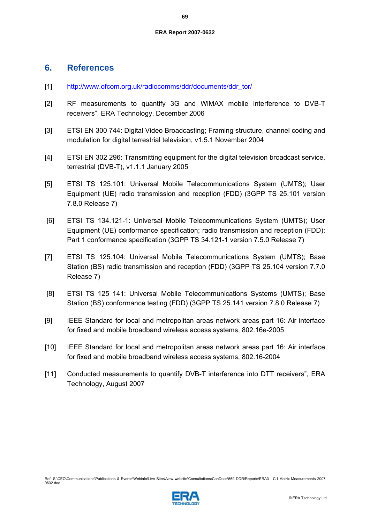## **6. References**

- [1] http://www.ofcom.org.uk/radiocomms/ddr/documents/ddr\_tor/
- [2] RF measurements to quantify 3G and WiMAX mobile interference to DVB-T receivers", ERA Technology, December 2006
- [3] ETSI EN 300 744: Digital Video Broadcasting; Framing structure, channel coding and modulation for digital terrestrial television, v1.5.1 November 2004
- [4] ETSI EN 302 296: Transmitting equipment for the digital television broadcast service, terrestrial (DVB-T), v1.1.1 January 2005
- [5] ETSI TS 125.101: Universal Mobile Telecommunications System (UMTS); User Equipment (UE) radio transmission and reception (FDD) (3GPP TS 25.101 version 7.8.0 Release 7)
- [6] ETSI TS 134.121-1: Universal Mobile Telecommunications System (UMTS); User Equipment (UE) conformance specification; radio transmission and reception (FDD); Part 1 conformance specification (3GPP TS 34.121-1 version 7.5.0 Release 7)
- [7] ETSI TS 125.104: Universal Mobile Telecommunications System (UMTS); Base Station (BS) radio transmission and reception (FDD) (3GPP TS 25.104 version 7.7.0 Release 7)
- [8] ETSI TS 125 141: Universal Mobile Telecommunications Systems (UMTS); Base Station (BS) conformance testing (FDD) (3GPP TS 25.141 version 7.8.0 Release 7)
- [9] IEEE Standard for local and metropolitan areas network areas part 16: Air interface for fixed and mobile broadband wireless access systems, 802.16e-2005
- [10] IEEE Standard for local and metropolitan areas network areas part 16: Air interface for fixed and mobile broadband wireless access systems, 802.16-2004
- [11] Conducted measurements to quantify DVB-T interference into DTT receivers", ERA Technology, August 2007

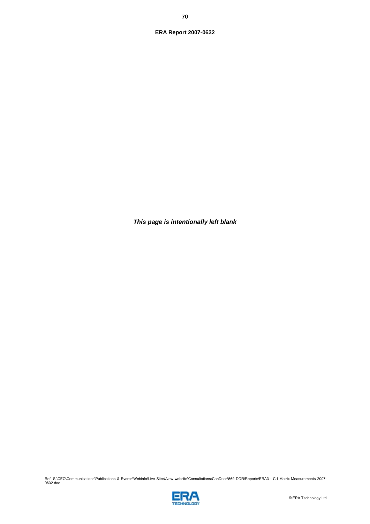**70**

*This page is intentionally left blank*